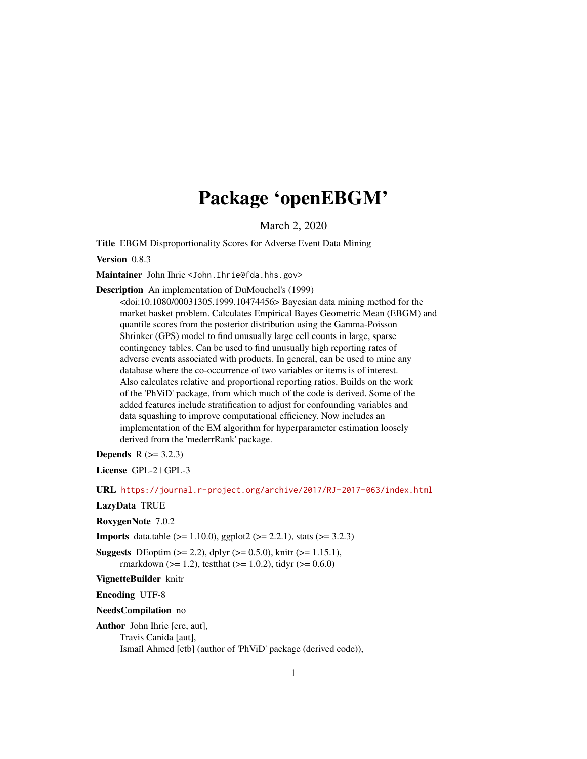# Package 'openEBGM'

March 2, 2020

<span id="page-0-0"></span>Title EBGM Disproportionality Scores for Adverse Event Data Mining

Version 0.8.3

Maintainer John Ihrie <John. Ihrie@fda.hhs.gov>

Description An implementation of DuMouchel's (1999)

<doi:10.1080/00031305.1999.10474456> Bayesian data mining method for the market basket problem. Calculates Empirical Bayes Geometric Mean (EBGM) and quantile scores from the posterior distribution using the Gamma-Poisson Shrinker (GPS) model to find unusually large cell counts in large, sparse contingency tables. Can be used to find unusually high reporting rates of adverse events associated with products. In general, can be used to mine any database where the co-occurrence of two variables or items is of interest. Also calculates relative and proportional reporting ratios. Builds on the work of the 'PhViD' package, from which much of the code is derived. Some of the added features include stratification to adjust for confounding variables and data squashing to improve computational efficiency. Now includes an implementation of the EM algorithm for hyperparameter estimation loosely derived from the 'mederrRank' package.

**Depends**  $R (= 3.2.3)$ 

License GPL-2 | GPL-3

URL <https://journal.r-project.org/archive/2017/RJ-2017-063/index.html>

LazyData TRUE

RoxygenNote 7.0.2

**Imports** data.table ( $>= 1.10.0$ ), ggplot2 ( $>= 2.2.1$ ), stats ( $>= 3.2.3$ )

**Suggests** DEoptim ( $>= 2.2$ ), dplyr ( $>= 0.5.0$ ), knitr ( $>= 1.15.1$ ), rmarkdown ( $>= 1.2$ ), testthat ( $>= 1.0.2$ ), tidyr ( $>= 0.6.0$ )

VignetteBuilder knitr

Encoding UTF-8

NeedsCompilation no

Author John Ihrie [cre, aut],

Travis Canida [aut],

Ismaïl Ahmed [ctb] (author of 'PhViD' package (derived code)),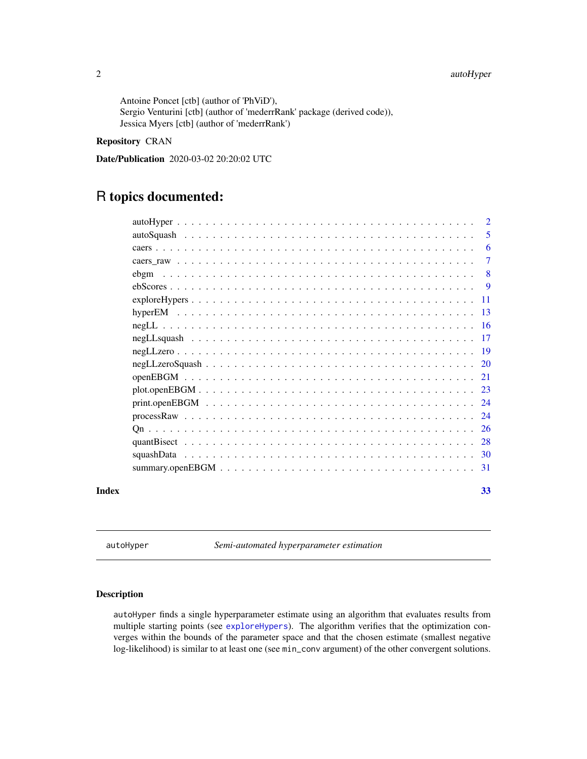# <span id="page-1-0"></span>2 autoHyper

Antoine Poncet [ctb] (author of 'PhViD'), Sergio Venturini [ctb] (author of 'mederrRank' package (derived code)), Jessica Myers [ctb] (author of 'mederrRank')

# Repository CRAN

Date/Publication 2020-03-02 20:20:02 UTC

# R topics documented:

|       |                 | 2      |
|-------|-----------------|--------|
|       |                 | 5      |
|       |                 | 6      |
|       |                 | $\tau$ |
|       | ebgm            | 8      |
|       |                 | -9     |
|       | $exploreHypers$ | - 11   |
|       |                 |        |
|       |                 |        |
|       |                 | -17    |
|       |                 |        |
|       |                 |        |
|       |                 |        |
|       |                 |        |
|       |                 |        |
|       |                 |        |
|       |                 |        |
|       |                 |        |
|       |                 |        |
|       |                 |        |
| Index |                 | 33     |

<span id="page-1-1"></span>autoHyper *Semi-automated hyperparameter estimation*

# Description

autoHyper finds a single hyperparameter estimate using an algorithm that evaluates results from multiple starting points (see [exploreHypers](#page-10-1)). The algorithm verifies that the optimization converges within the bounds of the parameter space and that the chosen estimate (smallest negative log-likelihood) is similar to at least one (see min\_conv argument) of the other convergent solutions.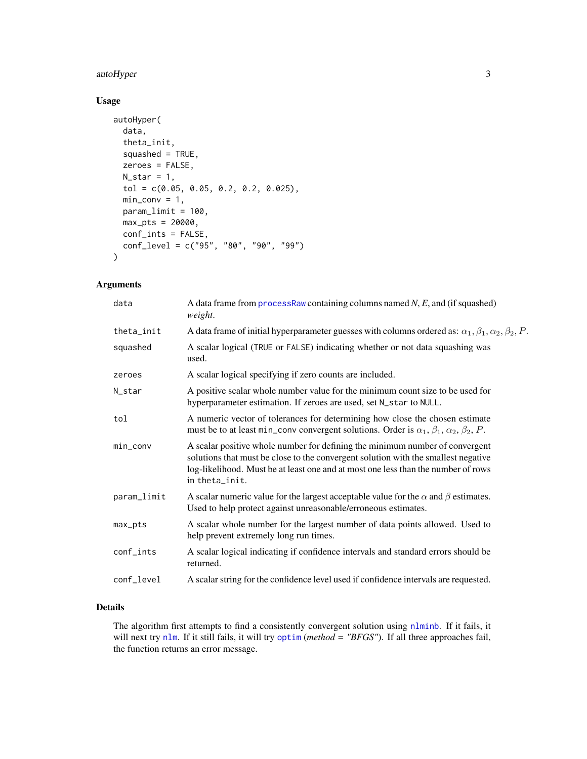# <span id="page-2-0"></span>autoHyper 3

# Usage

```
autoHyper(
  data,
  theta_init,
  squashed = TRUE,
  zeroes = FALSE,
  N_{\text{1}}star = 1,
  tol = c(0.05, 0.05, 0.2, 0.2, 0.025),
  min\_conv = 1,
  param_limit = 100,
  max_pts = 20000,conf_ints = FALSE,
  conf_level = c("95", "80", "90", "99")
\mathcal{L}
```
# Arguments

| data        | A data frame from process Raw containing columns named $N$ , $E$ , and (if squashed)<br>weight.                                                                                                                                                                           |
|-------------|---------------------------------------------------------------------------------------------------------------------------------------------------------------------------------------------------------------------------------------------------------------------------|
| theta_init  | A data frame of initial hyperparameter guesses with columns ordered as: $\alpha_1, \beta_1, \alpha_2, \beta_2, P$ .                                                                                                                                                       |
| squashed    | A scalar logical (TRUE or FALSE) indicating whether or not data squashing was<br>used.                                                                                                                                                                                    |
| zeroes      | A scalar logical specifying if zero counts are included.                                                                                                                                                                                                                  |
| N_star      | A positive scalar whole number value for the minimum count size to be used for<br>hyperparameter estimation. If zeroes are used, set N_star to NULL.                                                                                                                      |
| tol         | A numeric vector of tolerances for determining how close the chosen estimate<br>must be to at least min_conv convergent solutions. Order is $\alpha_1$ , $\beta_1$ , $\alpha_2$ , $\beta_2$ , P.                                                                          |
| min_conv    | A scalar positive whole number for defining the minimum number of convergent<br>solutions that must be close to the convergent solution with the smallest negative<br>log-likelihood. Must be at least one and at most one less than the number of rows<br>in theta_init. |
| param_limit | A scalar numeric value for the largest acceptable value for the $\alpha$ and $\beta$ estimates.<br>Used to help protect against unreasonable/erroneous estimates.                                                                                                         |
| max_pts     | A scalar whole number for the largest number of data points allowed. Used to<br>help prevent extremely long run times.                                                                                                                                                    |
| conf_ints   | A scalar logical indicating if confidence intervals and standard errors should be<br>returned.                                                                                                                                                                            |
| conf_level  | A scalar string for the confidence level used if confidence intervals are requested.                                                                                                                                                                                      |

# Details

The algorithm first attempts to find a consistently convergent solution using [nlminb](#page-0-0). If it fails, it will next try [nlm](#page-0-0). If it still fails, it will try [optim](#page-0-0) (*method = "BFGS"*). If all three approaches fail, the function returns an error message.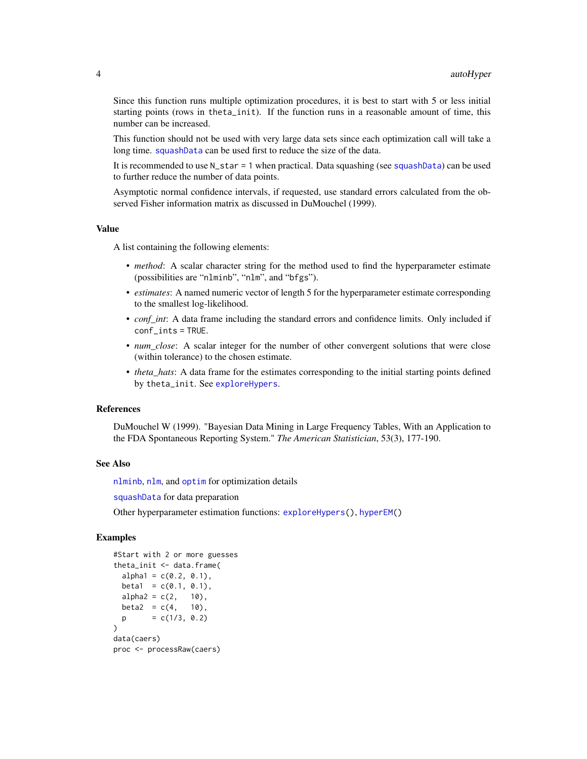<span id="page-3-0"></span>Since this function runs multiple optimization procedures, it is best to start with 5 or less initial starting points (rows in theta\_init). If the function runs in a reasonable amount of time, this number can be increased.

This function should not be used with very large data sets since each optimization call will take a long time. [squashData](#page-29-1) can be used first to reduce the size of the data.

It is recommended to use N\_star = 1 when practical. Data squashing (see [squashData](#page-29-1)) can be used to further reduce the number of data points.

Asymptotic normal confidence intervals, if requested, use standard errors calculated from the observed Fisher information matrix as discussed in DuMouchel (1999).

#### Value

A list containing the following elements:

- *method*: A scalar character string for the method used to find the hyperparameter estimate (possibilities are "nlminb", "nlm", and "bfgs").
- *estimates*: A named numeric vector of length 5 for the hyperparameter estimate corresponding to the smallest log-likelihood.
- *conf int*: A data frame including the standard errors and confidence limits. Only included if conf\_ints = TRUE.
- *num\_close*: A scalar integer for the number of other convergent solutions that were close (within tolerance) to the chosen estimate.
- *theta\_hats*: A data frame for the estimates corresponding to the initial starting points defined by theta\_init. See [exploreHypers](#page-10-1).

#### References

DuMouchel W (1999). "Bayesian Data Mining in Large Frequency Tables, With an Application to the FDA Spontaneous Reporting System." *The American Statistician*, 53(3), 177-190.

#### See Also

[nlminb](#page-0-0), [nlm](#page-0-0), and [optim](#page-0-0) for optimization details

[squashData](#page-29-1) for data preparation

Other hyperparameter estimation functions: [exploreHypers\(](#page-10-1)), [hyperEM\(](#page-12-1))

#### Examples

```
#Start with 2 or more guesses
theta_init <- data.frame(
 alpha1 = c(0.2, 0.1),
 beta1 = c(0.1, 0.1),alpha2 = c(2, 10),beta2 = c(4, 10),
 p = c(1/3, 0.2))
data(caers)
proc <- processRaw(caers)
```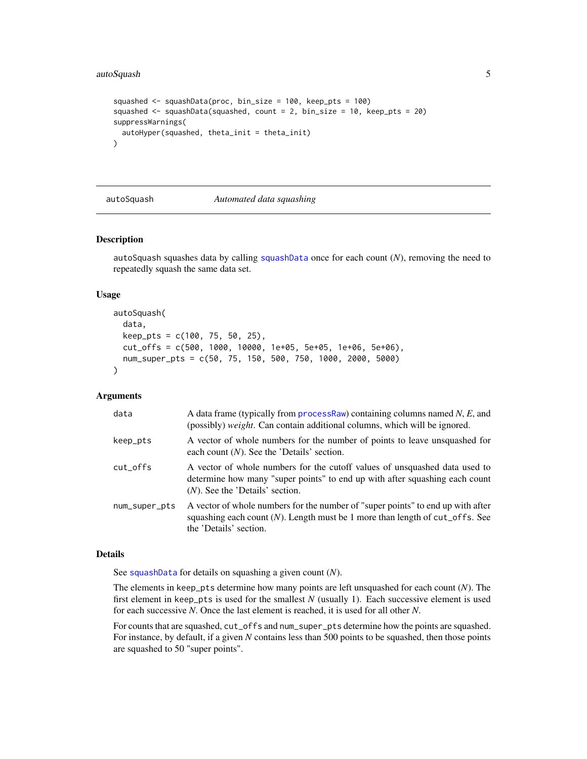# <span id="page-4-0"></span>autoSquash 5

```
squashed <- squashData(proc, bin_size = 100, keep_pts = 100)
squashed <- squashData(squashed, count = 2, bin_size = 10, keep_pts = 20)
suppressWarnings(
 autoHyper(squashed, theta_init = theta_init)
\mathcal{L}
```
<span id="page-4-1"></span>

#### autoSquash *Automated data squashing*

### Description

autoSquash squashes data by calling [squashData](#page-29-1) once for each count (*N*), removing the need to repeatedly squash the same data set.

# Usage

```
autoSquash(
  data,
  keep_pts = c(100, 75, 50, 25),
  cut_offs = c(500, 1000, 10000, 1e+05, 5e+05, 1e+06, 5e+06),
  num_super_pts = c(50, 75, 150, 500, 750, 1000, 2000, 5000)
)
```
# Arguments

| data          | A data frame (typically from $processRaw$ ) containing columns named $N$ , $E$ , and<br>(possibly) weight. Can contain additional columns, which will be ignored.                               |
|---------------|-------------------------------------------------------------------------------------------------------------------------------------------------------------------------------------------------|
| keep_pts      | A vector of whole numbers for the number of points to leave unsquashed for<br>each count $(N)$ . See the 'Details' section.                                                                     |
| cut_offs      | A vector of whole numbers for the cutoff values of unsquashed data used to<br>determine how many "super points" to end up with after squashing each count<br>$(N)$ . See the 'Details' section. |
| num_super_pts | A vector of whole numbers for the number of "super points" to end up with after<br>squashing each count $(N)$ . Length must be 1 more than length of cut_offs. See<br>the 'Details' section.    |

### Details

See [squashData](#page-29-1) for details on squashing a given count (*N*).

The elements in keep\_pts determine how many points are left unsquashed for each count (*N*). The first element in keep\_pts is used for the smallest *N* (usually 1). Each successive element is used for each successive *N*. Once the last element is reached, it is used for all other *N*.

For counts that are squashed, cut\_offs and num\_super\_pts determine how the points are squashed. For instance, by default, if a given *N* contains less than 500 points to be squashed, then those points are squashed to 50 "super points".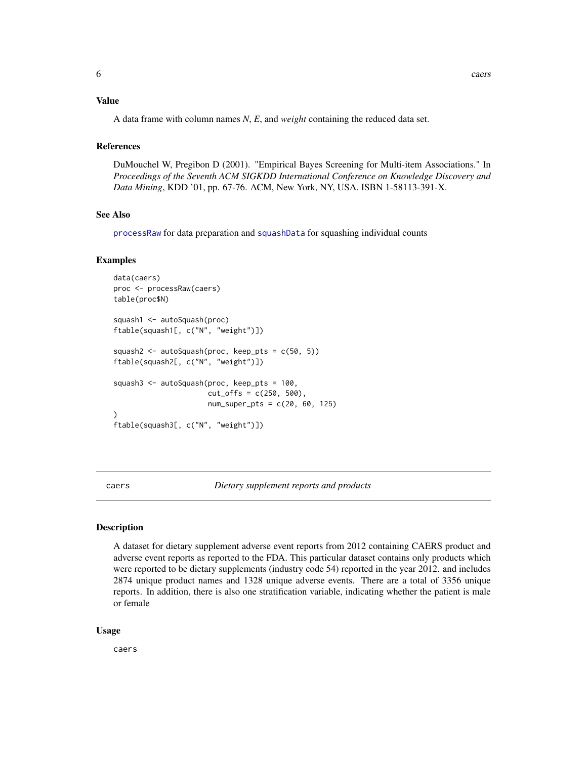#### <span id="page-5-0"></span>Value

A data frame with column names *N*, *E*, and *weight* containing the reduced data set.

#### References

DuMouchel W, Pregibon D (2001). "Empirical Bayes Screening for Multi-item Associations." In *Proceedings of the Seventh ACM SIGKDD International Conference on Knowledge Discovery and Data Mining*, KDD '01, pp. 67-76. ACM, New York, NY, USA. ISBN 1-58113-391-X.

#### See Also

[processRaw](#page-23-1) for data preparation and [squashData](#page-29-1) for squashing individual counts

#### Examples

```
data(caers)
proc <- processRaw(caers)
table(proc$N)
squash1 <- autoSquash(proc)
ftable(squash1[, c("N", "weight")])
squash2 <- autoSquash(proc, keep_pts = c(50, 5))
ftable(squash2[, c("N", "weight")])
squash3 <- autoSquash(proc, keep_pts = 100,
                      cut_{offs} = c(250, 500),
                      num_super_pts = c(20, 60, 125)
)
ftable(squash3[, c("N", "weight")])
```
caers *Dietary supplement reports and products*

#### Description

A dataset for dietary supplement adverse event reports from 2012 containing CAERS product and adverse event reports as reported to the FDA. This particular dataset contains only products which were reported to be dietary supplements (industry code 54) reported in the year 2012. and includes 2874 unique product names and 1328 unique adverse events. There are a total of 3356 unique reports. In addition, there is also one stratification variable, indicating whether the patient is male or female

#### Usage

caers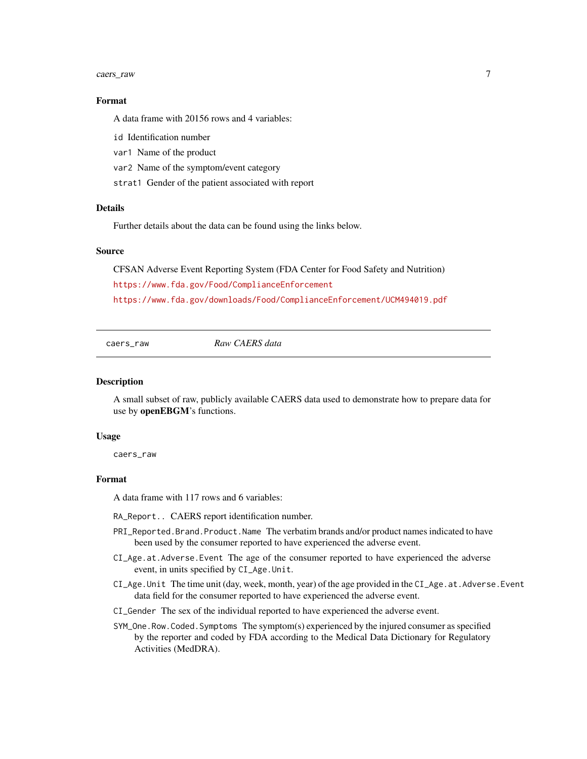#### <span id="page-6-0"></span>caers\_raw 7

#### Format

A data frame with 20156 rows and 4 variables:

id Identification number

var1 Name of the product

var2 Name of the symptom/event category

strat1 Gender of the patient associated with report

#### Details

Further details about the data can be found using the links below.

# Source

CFSAN Adverse Event Reporting System (FDA Center for Food Safety and Nutrition) <https://www.fda.gov/Food/ComplianceEnforcement> <https://www.fda.gov/downloads/Food/ComplianceEnforcement/UCM494019.pdf>

caers\_raw *Raw CAERS data*

#### **Description**

A small subset of raw, publicly available CAERS data used to demonstrate how to prepare data for use by openEBGM's functions.

#### Usage

caers\_raw

# Format

A data frame with 117 rows and 6 variables:

RA\_Report.. CAERS report identification number.

- PRI\_Reported.Brand.Product.Name The verbatim brands and/or product names indicated to have been used by the consumer reported to have experienced the adverse event.
- CI\_Age.at.Adverse.Event The age of the consumer reported to have experienced the adverse event, in units specified by CI\_Age.Unit.
- CI\_Age.Unit The time unit (day, week, month, year) of the age provided in the CI\_Age.at.Adverse.Event data field for the consumer reported to have experienced the adverse event.
- CI\_Gender The sex of the individual reported to have experienced the adverse event.
- SYM\_One.Row.Coded.Symptoms The symptom(s) experienced by the injured consumer as specified by the reporter and coded by FDA according to the Medical Data Dictionary for Regulatory Activities (MedDRA).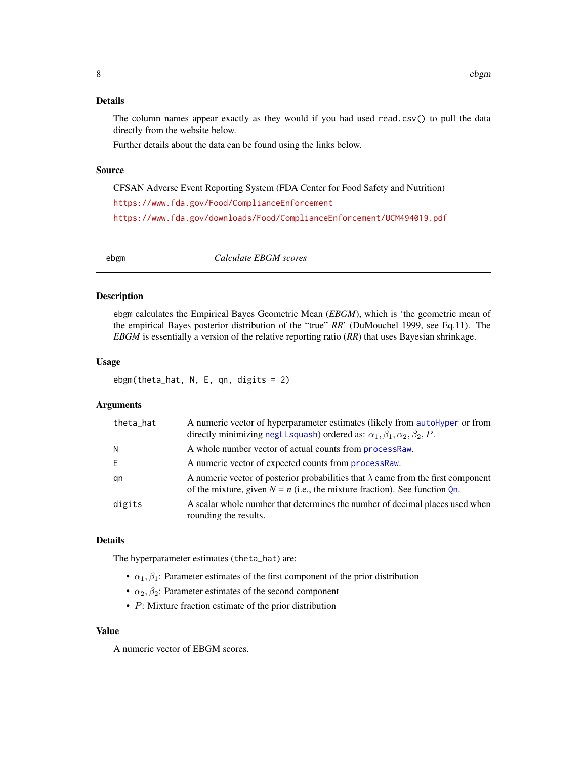# <span id="page-7-0"></span>Details

The column names appear exactly as they would if you had used read.csv $()$  to pull the data directly from the website below.

Further details about the data can be found using the links below.

# Source

CFSAN Adverse Event Reporting System (FDA Center for Food Safety and Nutrition) <https://www.fda.gov/Food/ComplianceEnforcement> <https://www.fda.gov/downloads/Food/ComplianceEnforcement/UCM494019.pdf>

<span id="page-7-1"></span>ebgm *Calculate EBGM scores*

#### Description

ebgm calculates the Empirical Bayes Geometric Mean (*EBGM*), which is 'the geometric mean of the empirical Bayes posterior distribution of the "true" *RR*' (DuMouchel 1999, see Eq.11). The *EBGM* is essentially a version of the relative reporting ratio (*RR*) that uses Bayesian shrinkage.

#### Usage

ebgm(theta\_hat, N, E, qn, digits = 2)

# Arguments

| theta_hat | A numeric vector of hyperparameter estimates (likely from autoHyper or from<br>directly minimizing negLLsquash) ordered as: $\alpha_1, \beta_1, \alpha_2, \beta_2, P$ .     |
|-----------|-----------------------------------------------------------------------------------------------------------------------------------------------------------------------------|
| N         | A whole number vector of actual counts from <b>processRaw</b> .                                                                                                             |
| E         | A numeric vector of expected counts from processRaw.                                                                                                                        |
| gn        | A numeric vector of posterior probabilities that $\lambda$ came from the first component<br>of the mixture, given $N = n$ (i.e., the mixture fraction). See function $Qn$ . |
| digits    | A scalar whole number that determines the number of decimal places used when<br>rounding the results.                                                                       |

#### Details

The hyperparameter estimates (theta\_hat) are:

- $\alpha_1, \beta_1$ : Parameter estimates of the first component of the prior distribution
- $\alpha_2, \beta_2$ : Parameter estimates of the second component
- P: Mixture fraction estimate of the prior distribution

#### Value

A numeric vector of EBGM scores.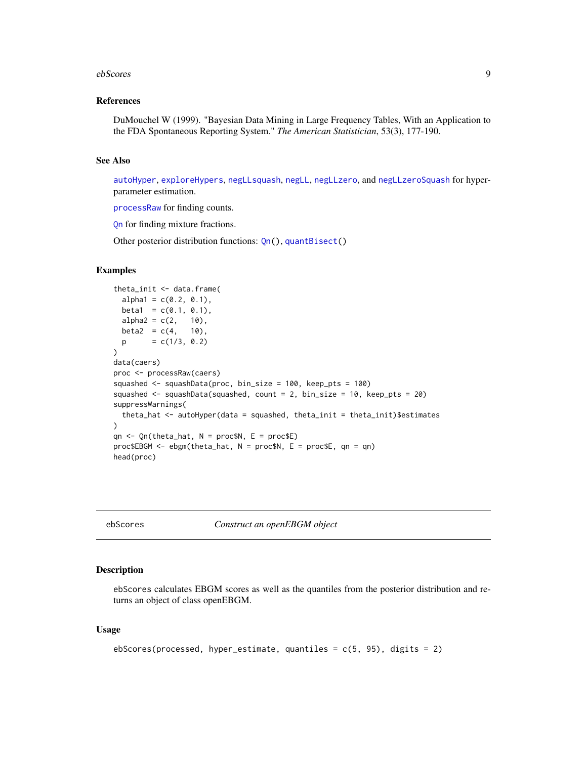#### <span id="page-8-0"></span>ebScores 99

#### References

DuMouchel W (1999). "Bayesian Data Mining in Large Frequency Tables, With an Application to the FDA Spontaneous Reporting System." *The American Statistician*, 53(3), 177-190.

#### See Also

[autoHyper](#page-1-1), [exploreHypers](#page-10-1), [negLLsquash](#page-16-1), [negLL](#page-15-1), [negLLzero](#page-18-1), and [negLLzeroSquash](#page-19-1) for hyperparameter estimation.

[processRaw](#page-23-1) for finding counts.

[Qn](#page-25-1) for finding mixture fractions.

Other posterior distribution functions: [Qn\(](#page-25-1)), [quantBisect\(](#page-27-1))

#### Examples

```
theta_init <- data.frame(
 alpha1 = c(0.2, 0.1),beta1 = c(0.1, 0.1),alpha2 = c(2, 10),
 beta2 = c(4, 10),
 p = c(1/3, 0.2))
data(caers)
proc <- processRaw(caers)
squashed <- squashData(proc, bin_size = 100, keep_pts = 100)
squashed <- squashData(squashed, count = 2, bin_size = 10, keep_pts = 20)
suppressWarnings(
 theta_hat <- autoHyper(data = squashed, theta_init = theta_init)$estimates
\lambdaqn \leq Qn(theta_hat, N = proc$N, E = proc$E)
proc$EBGM <- ebgm(theta_hat, N = proc$N, E = proc$E, qn = qn)
head(proc)
```
<span id="page-8-1"></span>ebScores *Construct an openEBGM object*

# Description

ebScores calculates EBGM scores as well as the quantiles from the posterior distribution and returns an object of class openEBGM.

#### Usage

```
ebScores(processed, hyper_estimate, quantiles = c(5, 95), digits = 2)
```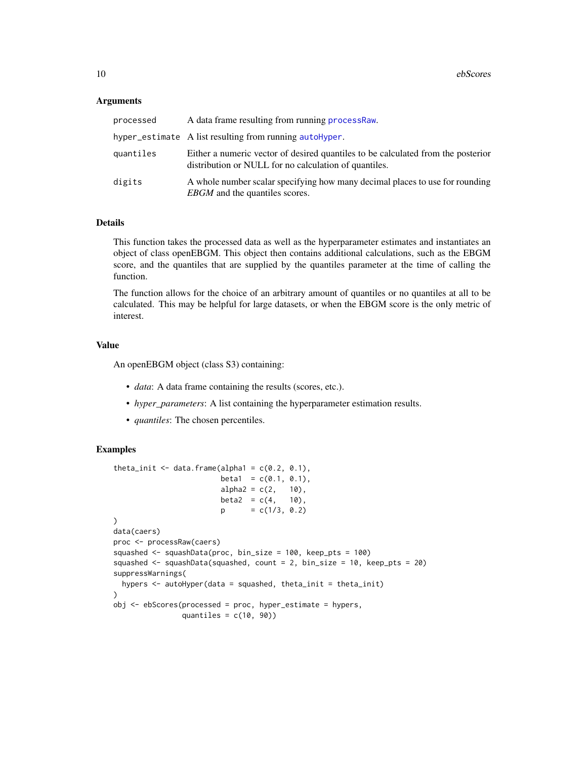#### <span id="page-9-0"></span>Arguments

| processed | A data frame resulting from running process Raw.                                                                                          |
|-----------|-------------------------------------------------------------------------------------------------------------------------------------------|
|           | hyper_estimate A list resulting from running autoHyper.                                                                                   |
| quantiles | Either a numeric vector of desired quantiles to be calculated from the posterior<br>distribution or NULL for no calculation of quantiles. |
| digits    | A whole number scalar specifying how many decimal places to use for rounding<br><i>EBGM</i> and the quantiles scores.                     |

#### Details

This function takes the processed data as well as the hyperparameter estimates and instantiates an object of class openEBGM. This object then contains additional calculations, such as the EBGM score, and the quantiles that are supplied by the quantiles parameter at the time of calling the function.

The function allows for the choice of an arbitrary amount of quantiles or no quantiles at all to be calculated. This may be helpful for large datasets, or when the EBGM score is the only metric of interest.

# Value

An openEBGM object (class S3) containing:

- *data*: A data frame containing the results (scores, etc.).
- *hyper\_parameters*: A list containing the hyperparameter estimation results.
- *quantiles*: The chosen percentiles.

#### Examples

```
theta_init \leq data.frame(alpha1 = c(0.2, 0.1),
                        beta1 = c(0.1, 0.1),alpha2 = c(2, 10),beta2 = c(4, 10),
                        p = c(1/3, 0.2))
data(caers)
proc <- processRaw(caers)
squashed <- squashData(proc, bin_size = 100, keep_pts = 100)
squashed <- squashData(squashed, count = 2, bin_size = 10, keep_pts = 20)
suppressWarnings(
 hypers <- autoHyper(data = squashed, theta_init = theta_init)
)
obj <- ebScores(processed = proc, hyper_estimate = hypers,
               quantiles = c(10, 90))
```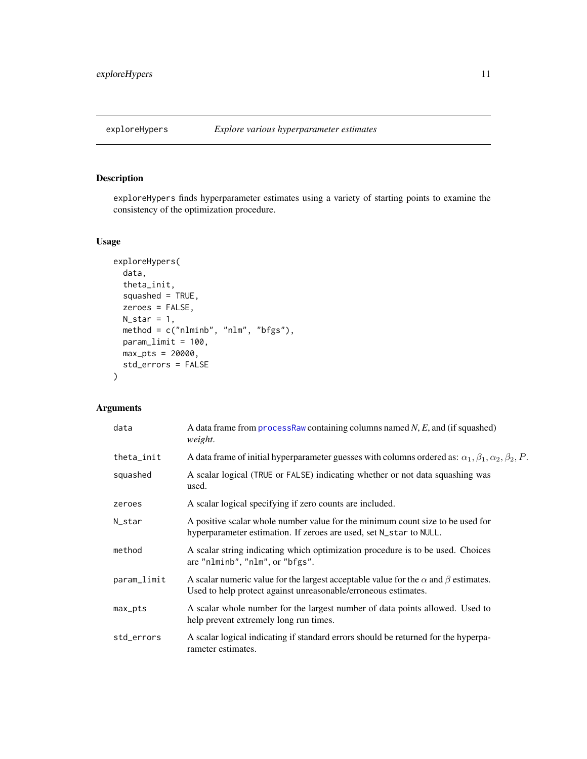<span id="page-10-1"></span><span id="page-10-0"></span>

# Description

exploreHypers finds hyperparameter estimates using a variety of starting points to examine the consistency of the optimization procedure.

# Usage

```
exploreHypers(
  data,
  theta_init,
  squashed = TRUE,
  zeroes = FALSE,
  N_{\text{1}}star = 1,
  method = c("nlminb", "nlm", "bfgs"),
  param_limit = 100,
  max_pts = 20000,std_errors = FALSE
\mathcal{L}
```
# Arguments

| data        | A data frame from process Raw containing columns named $N$ , $E$ , and (if squashed)<br>weight.                                                                   |
|-------------|-------------------------------------------------------------------------------------------------------------------------------------------------------------------|
| theta_init  | A data frame of initial hyperparameter guesses with columns ordered as: $\alpha_1, \beta_1, \alpha_2, \beta_2, P$ .                                               |
| squashed    | A scalar logical (TRUE or FALSE) indicating whether or not data squashing was<br>used.                                                                            |
| zeroes      | A scalar logical specifying if zero counts are included.                                                                                                          |
| N_star      | A positive scalar whole number value for the minimum count size to be used for<br>hyperparameter estimation. If zeroes are used, set N_star to NULL.              |
| method      | A scalar string indicating which optimization procedure is to be used. Choices<br>are "nlminb", "nlm", or "bfgs".                                                 |
| param_limit | A scalar numeric value for the largest acceptable value for the $\alpha$ and $\beta$ estimates.<br>Used to help protect against unreasonable/erroneous estimates. |
| max_pts     | A scalar whole number for the largest number of data points allowed. Used to<br>help prevent extremely long run times.                                            |
| std_errors  | A scalar logical indicating if standard errors should be returned for the hyperpa-<br>rameter estimates.                                                          |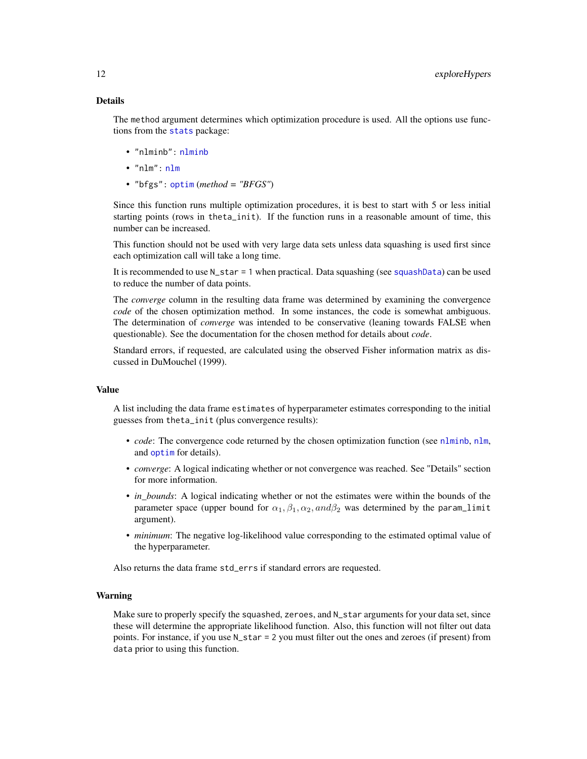# <span id="page-11-0"></span>Details

The method argument determines which optimization procedure is used. All the options use functions from the [stats](#page-0-0) package:

- "nlminb": [nlminb](#page-0-0)
- "nlm": [nlm](#page-0-0)
- "bfgs": [optim](#page-0-0) (*method = "BFGS"*)

Since this function runs multiple optimization procedures, it is best to start with 5 or less initial starting points (rows in theta\_init). If the function runs in a reasonable amount of time, this number can be increased.

This function should not be used with very large data sets unless data squashing is used first since each optimization call will take a long time.

It is recommended to use N\_star = 1 when practical. Data squashing (see [squashData](#page-29-1)) can be used to reduce the number of data points.

The *converge* column in the resulting data frame was determined by examining the convergence *code* of the chosen optimization method. In some instances, the code is somewhat ambiguous. The determination of *converge* was intended to be conservative (leaning towards FALSE when questionable). See the documentation for the chosen method for details about *code*.

Standard errors, if requested, are calculated using the observed Fisher information matrix as discussed in DuMouchel (1999).

# Value

A list including the data frame estimates of hyperparameter estimates corresponding to the initial guesses from theta\_init (plus convergence results):

- *code*: The convergence code returned by the chosen optimization function (see [nlminb](#page-0-0), [nlm](#page-0-0), and [optim](#page-0-0) for details).
- *converge*: A logical indicating whether or not convergence was reached. See "Details" section for more information.
- *in\_bounds*: A logical indicating whether or not the estimates were within the bounds of the parameter space (upper bound for  $\alpha_1, \beta_1, \alpha_2, and \beta_2$  was determined by the param\_limit argument).
- *minimum*: The negative log-likelihood value corresponding to the estimated optimal value of the hyperparameter.

Also returns the data frame std\_errs if standard errors are requested.

# Warning

Make sure to properly specify the squashed, zeroes, and N\_star arguments for your data set, since these will determine the appropriate likelihood function. Also, this function will not filter out data points. For instance, if you use N\_star = 2 you must filter out the ones and zeroes (if present) from data prior to using this function.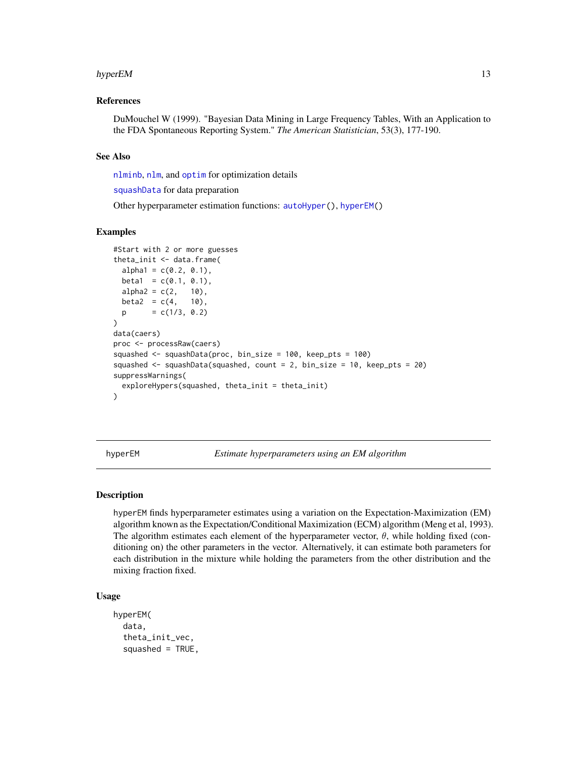#### <span id="page-12-0"></span>hyperEM 13

# References

DuMouchel W (1999). "Bayesian Data Mining in Large Frequency Tables, With an Application to the FDA Spontaneous Reporting System." *The American Statistician*, 53(3), 177-190.

### See Also

[nlminb](#page-0-0), [nlm](#page-0-0), and [optim](#page-0-0) for optimization details

[squashData](#page-29-1) for data preparation

Other hyperparameter estimation functions: [autoHyper\(](#page-1-1)), [hyperEM\(](#page-12-1))

#### Examples

```
#Start with 2 or more guesses
theta_init \leq data.frame(
 alpha1 = c(0.2, 0.1),
 beta1 = c(0.1, 0.1),alpha2 = c(2, 10),
 beta2 = c(4, 10),p = c(1/3, 0.2))
data(caers)
proc <- processRaw(caers)
squashed <- squashData(proc, bin_size = 100, keep_pts = 100)
squashed <- squashData(squashed, count = 2, bin_size = 10, keep_pts = 20)
suppressWarnings(
 exploreHypers(squashed, theta_init = theta_init)
)
```
<span id="page-12-1"></span>hyperEM *Estimate hyperparameters using an EM algorithm*

### Description

hyperEM finds hyperparameter estimates using a variation on the Expectation-Maximization (EM) algorithm known as the Expectation/Conditional Maximization (ECM) algorithm (Meng et al, 1993). The algorithm estimates each element of the hyperparameter vector,  $\theta$ , while holding fixed (conditioning on) the other parameters in the vector. Alternatively, it can estimate both parameters for each distribution in the mixture while holding the parameters from the other distribution and the mixing fraction fixed.

#### Usage

```
hyperEM(
  data,
  theta_init_vec,
  squashed = TRUE,
```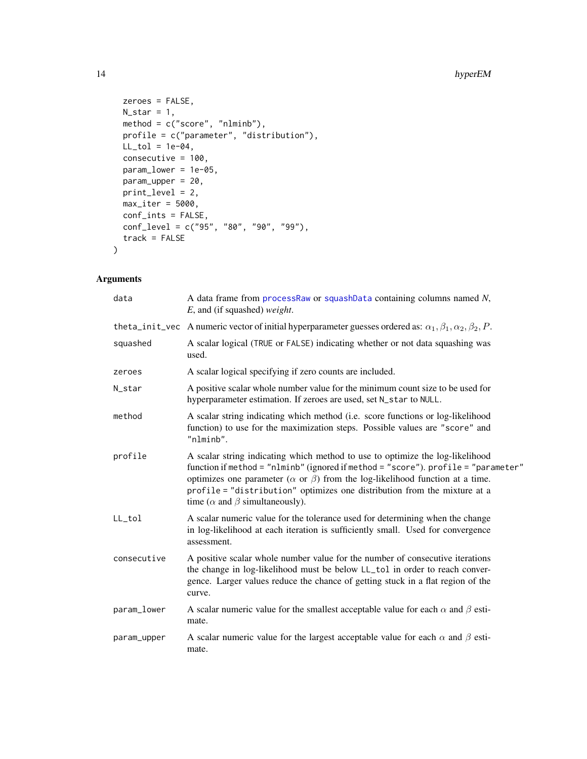```
zeroes = FALSE,
 N_{\text{1}}star = 1,
 method = c("score", "nlminb"),
 profile = c("parameter", "distribution"),
 LL\_tol = 1e-04,consecutive = 100,
 param_lower = 1e-05,
 param_upper = 20,
 print_level = 2,
 max\_iter = 5000,
 conf_ints = FALSE,
 conf_level = c("95", "80", "90", "99"),
 track = FALSE
)
```
# Arguments

| data        | A data frame from processRaw or squashData containing columns named N,<br>$E$ , and (if squashed) weight.                                                                                                                                                                                                                                                                                       |
|-------------|-------------------------------------------------------------------------------------------------------------------------------------------------------------------------------------------------------------------------------------------------------------------------------------------------------------------------------------------------------------------------------------------------|
|             | theta_init_vec A numeric vector of initial hyperparameter guesses ordered as: $\alpha_1, \beta_1, \alpha_2, \beta_2, P$ .                                                                                                                                                                                                                                                                       |
| squashed    | A scalar logical (TRUE or FALSE) indicating whether or not data squashing was<br>used.                                                                                                                                                                                                                                                                                                          |
| zeroes      | A scalar logical specifying if zero counts are included.                                                                                                                                                                                                                                                                                                                                        |
| N_star      | A positive scalar whole number value for the minimum count size to be used for<br>hyperparameter estimation. If zeroes are used, set N_star to NULL.                                                                                                                                                                                                                                            |
| method      | A scalar string indicating which method (i.e. score functions or log-likelihood<br>function) to use for the maximization steps. Possible values are "score" and<br>"nlminb".                                                                                                                                                                                                                    |
| profile     | A scalar string indicating which method to use to optimize the log-likelihood<br>function if method = "nlminb" (ignored if method = "score"). profile = "parameter"<br>optimizes one parameter ( $\alpha$ or $\beta$ ) from the log-likelihood function at a time.<br>profile = "distribution" optimizes one distribution from the mixture at a<br>time ( $\alpha$ and $\beta$ simultaneously). |
| LL_tol      | A scalar numeric value for the tolerance used for determining when the change<br>in log-likelihood at each iteration is sufficiently small. Used for convergence<br>assessment.                                                                                                                                                                                                                 |
| consecutive | A positive scalar whole number value for the number of consecutive iterations<br>the change in log-likelihood must be below LL_tol in order to reach conver-<br>gence. Larger values reduce the chance of getting stuck in a flat region of the<br>curve.                                                                                                                                       |
| param_lower | A scalar numeric value for the smallest acceptable value for each $\alpha$ and $\beta$ esti-<br>mate.                                                                                                                                                                                                                                                                                           |
| param_upper | A scalar numeric value for the largest acceptable value for each $\alpha$ and $\beta$ esti-<br>mate.                                                                                                                                                                                                                                                                                            |

<span id="page-13-0"></span>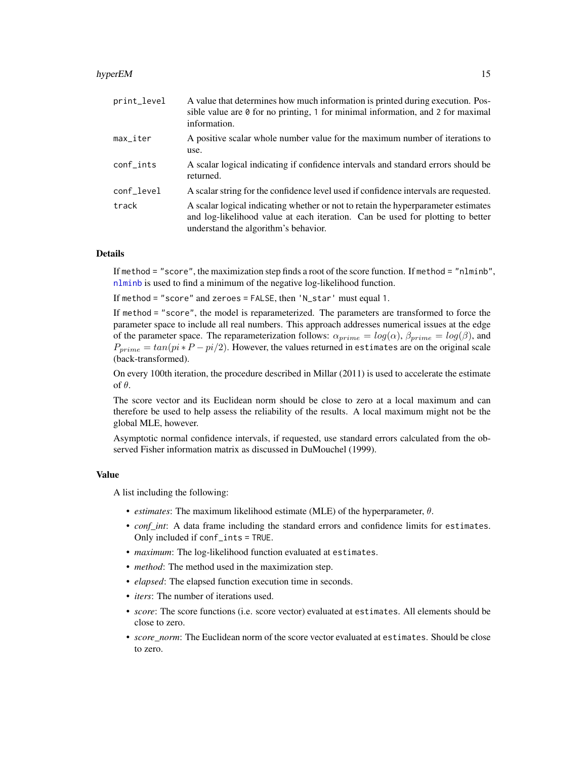#### <span id="page-14-0"></span>hyperEM 15

| A value that determines how much information is printed during execution. Pos-<br>sible value are $\theta$ for no printing, 1 for minimal information, and 2 for maximal<br>information.                    |
|-------------------------------------------------------------------------------------------------------------------------------------------------------------------------------------------------------------|
| A positive scalar whole number value for the maximum number of iterations to<br>use.                                                                                                                        |
| A scalar logical indicating if confidence intervals and standard errors should be<br>returned.                                                                                                              |
| A scalar string for the confidence level used if confidence intervals are requested.                                                                                                                        |
| A scalar logical indicating whether or not to retain the hyperparameter estimates<br>and log-likelihood value at each iteration. Can be used for plotting to better<br>understand the algorithm's behavior. |
|                                                                                                                                                                                                             |

# Details

If method  $=$  "score", the maximization step finds a root of the score function. If method  $=$  "nlminb", [nlminb](#page-0-0) is used to find a minimum of the negative log-likelihood function.

If method = "score" and zeroes = FALSE, then 'N\_star' must equal 1.

If method = "score", the model is reparameterized. The parameters are transformed to force the parameter space to include all real numbers. This approach addresses numerical issues at the edge of the parameter space. The reparameterization follows:  $\alpha_{prime} = log(\alpha)$ ,  $\beta_{prime} = log(\beta)$ , and  $P_{prime} = \tan(p_i * P - pi/2)$ . However, the values returned in estimates are on the original scale (back-transformed).

On every 100th iteration, the procedure described in Millar (2011) is used to accelerate the estimate of θ.

The score vector and its Euclidean norm should be close to zero at a local maximum and can therefore be used to help assess the reliability of the results. A local maximum might not be the global MLE, however.

Asymptotic normal confidence intervals, if requested, use standard errors calculated from the observed Fisher information matrix as discussed in DuMouchel (1999).

#### Value

A list including the following:

- *estimates*: The maximum likelihood estimate (MLE) of the hyperparameter, θ.
- *conf\_int*: A data frame including the standard errors and confidence limits for estimates. Only included if conf\_ints = TRUE.
- *maximum*: The log-likelihood function evaluated at estimates.
- *method*: The method used in the maximization step.
- *elapsed*: The elapsed function execution time in seconds.
- *iters*: The number of iterations used.
- *score*: The score functions (i.e. score vector) evaluated at estimates. All elements should be close to zero.
- *score\_norm*: The Euclidean norm of the score vector evaluated at estimates. Should be close to zero.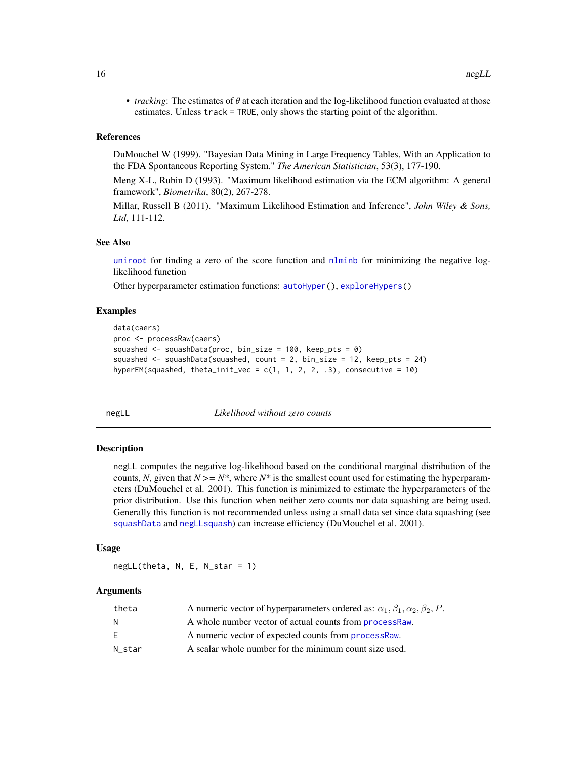<span id="page-15-0"></span>• *tracking*: The estimates of  $\theta$  at each iteration and the log-likelihood function evaluated at those estimates. Unless track = TRUE, only shows the starting point of the algorithm.

# References

DuMouchel W (1999). "Bayesian Data Mining in Large Frequency Tables, With an Application to the FDA Spontaneous Reporting System." *The American Statistician*, 53(3), 177-190.

Meng X-L, Rubin D (1993). "Maximum likelihood estimation via the ECM algorithm: A general framework", *Biometrika*, 80(2), 267-278.

Millar, Russell B (2011). "Maximum Likelihood Estimation and Inference", *John Wiley & Sons, Ltd*, 111-112.

#### See Also

[uniroot](#page-0-0) for finding a zero of the score function and  $n$ lminb for minimizing the negative loglikelihood function

Other hyperparameter estimation functions: [autoHyper\(](#page-1-1)), [exploreHypers\(](#page-10-1))

#### Examples

```
data(caers)
proc <- processRaw(caers)
squashed <- squashData(proc, bin_size = 100, keep_pts = 0)
squashed \leq squashData(squashed, count = 2, bin_size = 12, keep_pts = 24)
hyperEM(squashed, theta_init_vec = c(1, 1, 2, 2, .3), consecutive = 10)
```
<span id="page-15-1"></span>negLL *Likelihood without zero counts*

#### Description

negLL computes the negative log-likelihood based on the conditional marginal distribution of the counts, N, given that  $N \geq N^*$ , where  $N^*$  is the smallest count used for estimating the hyperparameters (DuMouchel et al. 2001). This function is minimized to estimate the hyperparameters of the prior distribution. Use this function when neither zero counts nor data squashing are being used. Generally this function is not recommended unless using a small data set since data squashing (see [squashData](#page-29-1) and [negLLsquash](#page-16-1)) can increase efficiency (DuMouchel et al. 2001).

#### Usage

 $negLL$ (theta, N, E, N\_star = 1)

## Arguments

| theta  | A numeric vector of hyperparameters ordered as: $\alpha_1, \beta_1, \alpha_2, \beta_2, P$ . |
|--------|---------------------------------------------------------------------------------------------|
| N      | A whole number vector of actual counts from <b>processRaw</b> .                             |
| E.     | A numeric vector of expected counts from processRaw.                                        |
| N star | A scalar whole number for the minimum count size used.                                      |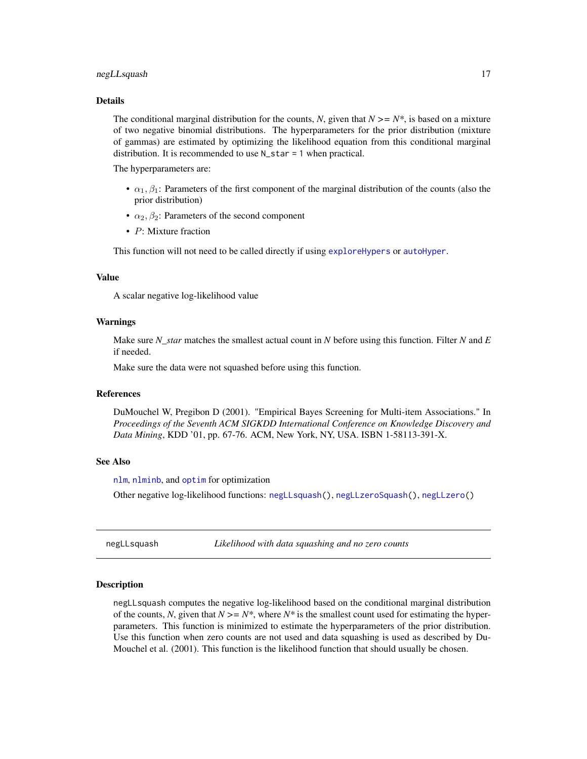#### <span id="page-16-0"></span>negLLsquash 17

#### Details

The conditional marginal distribution for the counts, *N*, given that  $N \geq N^*$ , is based on a mixture of two negative binomial distributions. The hyperparameters for the prior distribution (mixture of gammas) are estimated by optimizing the likelihood equation from this conditional marginal distribution. It is recommended to use N\_star = 1 when practical.

The hyperparameters are:

- $\alpha_1, \beta_1$ : Parameters of the first component of the marginal distribution of the counts (also the prior distribution)
- $\alpha_2, \beta_2$ : Parameters of the second component
- P: Mixture fraction

This function will not need to be called directly if using [exploreHypers](#page-10-1) or [autoHyper](#page-1-1).

#### Value

A scalar negative log-likelihood value

### Warnings

Make sure *N\_star* matches the smallest actual count in *N* before using this function. Filter *N* and *E* if needed.

Make sure the data were not squashed before using this function.

#### References

DuMouchel W, Pregibon D (2001). "Empirical Bayes Screening for Multi-item Associations." In *Proceedings of the Seventh ACM SIGKDD International Conference on Knowledge Discovery and Data Mining*, KDD '01, pp. 67-76. ACM, New York, NY, USA. ISBN 1-58113-391-X.

# See Also

[nlm](#page-0-0), [nlminb](#page-0-0), and [optim](#page-0-0) for optimization

Other negative log-likelihood functions: [negLLsquash\(](#page-16-1)), [negLLzeroSquash\(](#page-19-1)), [negLLzero\(](#page-18-1))

<span id="page-16-1"></span>negLLsquash *Likelihood with data squashing and no zero counts*

#### Description

negLLsquash computes the negative log-likelihood based on the conditional marginal distribution of the counts, N, given that  $N \geq N^*$ , where  $N^*$  is the smallest count used for estimating the hyperparameters. This function is minimized to estimate the hyperparameters of the prior distribution. Use this function when zero counts are not used and data squashing is used as described by Du-Mouchel et al. (2001). This function is the likelihood function that should usually be chosen.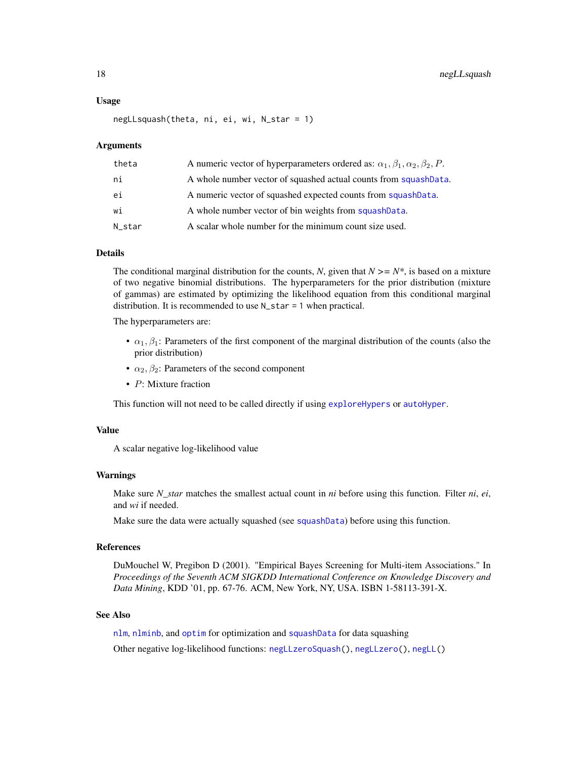#### <span id="page-17-0"></span>Usage

negLLsquash(theta, ni, ei, wi, N\_star = 1)

#### Arguments

| theta  | A numeric vector of hyperparameters ordered as: $\alpha_1, \beta_1, \alpha_2, \beta_2, P$ . |
|--------|---------------------------------------------------------------------------------------------|
| ni     | A whole number vector of squashed actual counts from squashData.                            |
| ei     | A numeric vector of squashed expected counts from squashData.                               |
| wi     | A whole number vector of bin weights from squashData.                                       |
| N star | A scalar whole number for the minimum count size used.                                      |

# Details

The conditional marginal distribution for the counts, *N*, given that  $N \geq N^*$ , is based on a mixture of two negative binomial distributions. The hyperparameters for the prior distribution (mixture of gammas) are estimated by optimizing the likelihood equation from this conditional marginal distribution. It is recommended to use N\_star = 1 when practical.

The hyperparameters are:

- $\alpha_1, \beta_1$ : Parameters of the first component of the marginal distribution of the counts (also the prior distribution)
- $\alpha_2, \beta_2$ : Parameters of the second component
- P: Mixture fraction

This function will not need to be called directly if using [exploreHypers](#page-10-1) or [autoHyper](#page-1-1).

# Value

A scalar negative log-likelihood value

#### Warnings

Make sure *N\_star* matches the smallest actual count in *ni* before using this function. Filter *ni*, *ei*, and *wi* if needed.

Make sure the data were actually squashed (see [squashData](#page-29-1)) before using this function.

# References

DuMouchel W, Pregibon D (2001). "Empirical Bayes Screening for Multi-item Associations." In *Proceedings of the Seventh ACM SIGKDD International Conference on Knowledge Discovery and Data Mining*, KDD '01, pp. 67-76. ACM, New York, NY, USA. ISBN 1-58113-391-X.

# See Also

[nlm](#page-0-0), [nlminb](#page-0-0), and [optim](#page-0-0) for optimization and [squashData](#page-29-1) for data squashing Other negative log-likelihood functions: [negLLzeroSquash\(](#page-19-1)), [negLLzero\(](#page-18-1)), [negLL\(](#page-15-1))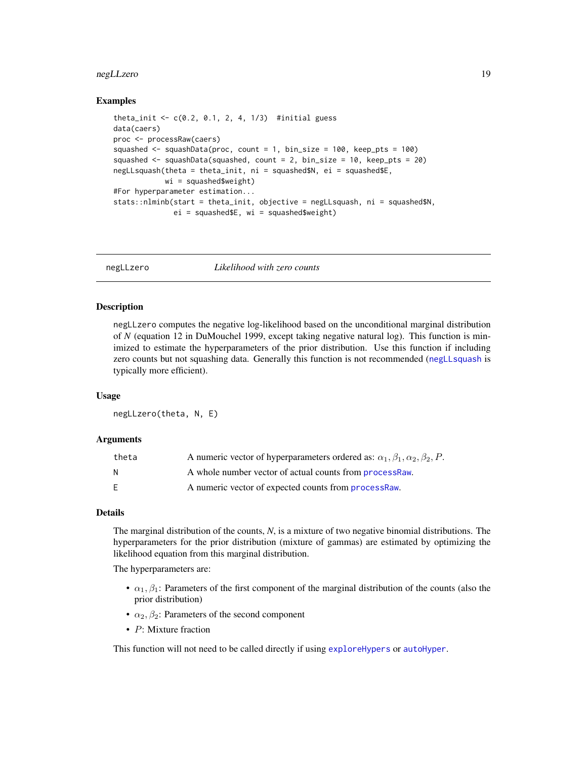#### <span id="page-18-0"></span>negLLzero 19

#### Examples

```
theta_init <- c(0.2, 0.1, 2, 4, 1/3) #initial guess
data(caers)
proc <- processRaw(caers)
squashed \leq squashData(proc, count = 1, bin_size = 100, keep_pts = 100)
squashed <- squashData(squashed, count = 2, bin_size = 10, keep_pts = 20)
negLLsquash(theta = theta_init, ni = squashed$N, ei = squashed$E,
            wi = squashed$weight)
#For hyperparameter estimation...
stats::nlminb(start = theta_init, objective = negLLsquash, ni = squashed$N,
              ei = squashed$E, wi = squashed$weight)
```
<span id="page-18-1"></span>

negLLzero *Likelihood with zero counts*

# **Description**

negLLzero computes the negative log-likelihood based on the unconditional marginal distribution of *N* (equation 12 in DuMouchel 1999, except taking negative natural log). This function is minimized to estimate the hyperparameters of the prior distribution. Use this function if including zero counts but not squashing data. Generally this function is not recommended ([negLLsquash](#page-16-1) is typically more efficient).

#### Usage

negLLzero(theta, N, E)

#### Arguments

| theta | A numeric vector of hyperparameters ordered as: $\alpha_1, \beta_1, \alpha_2, \beta_2, P$ . |
|-------|---------------------------------------------------------------------------------------------|
| N     | A whole number vector of actual counts from <b>processRaw</b> .                             |
| E     | A numeric vector of expected counts from processRaw.                                        |

# Details

The marginal distribution of the counts, *N*, is a mixture of two negative binomial distributions. The hyperparameters for the prior distribution (mixture of gammas) are estimated by optimizing the likelihood equation from this marginal distribution.

The hyperparameters are:

- $\alpha_1, \beta_1$ : Parameters of the first component of the marginal distribution of the counts (also the prior distribution)
- $\alpha_2, \beta_2$ : Parameters of the second component
- P: Mixture fraction

This function will not need to be called directly if using [exploreHypers](#page-10-1) or [autoHyper](#page-1-1).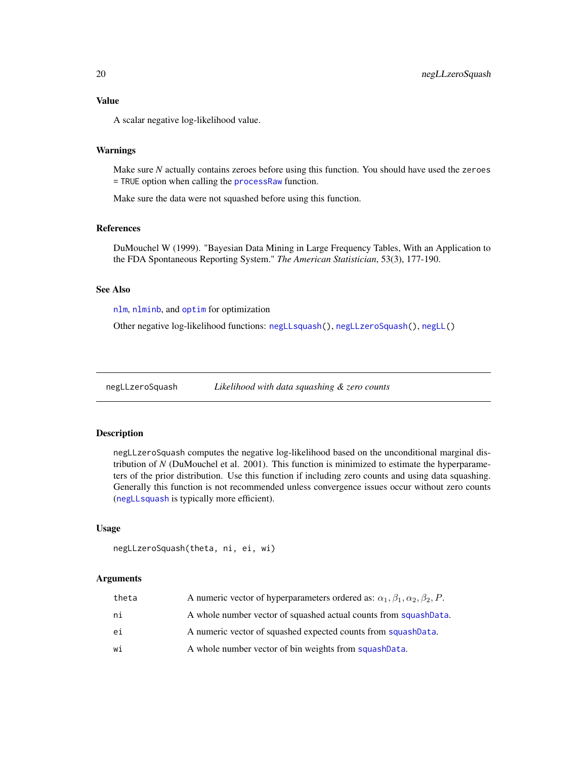# <span id="page-19-0"></span>Value

A scalar negative log-likelihood value.

#### Warnings

Make sure *N* actually contains zeroes before using this function. You should have used the zeroes = TRUE option when calling the [processRaw](#page-23-1) function.

Make sure the data were not squashed before using this function.

# References

DuMouchel W (1999). "Bayesian Data Mining in Large Frequency Tables, With an Application to the FDA Spontaneous Reporting System." *The American Statistician*, 53(3), 177-190.

# See Also

[nlm](#page-0-0), [nlminb](#page-0-0), and [optim](#page-0-0) for optimization

Other negative log-likelihood functions: [negLLsquash\(](#page-16-1)), [negLLzeroSquash\(](#page-19-1)), [negLL\(](#page-15-1))

<span id="page-19-1"></span>negLLzeroSquash *Likelihood with data squashing & zero counts*

# Description

negLLzeroSquash computes the negative log-likelihood based on the unconditional marginal distribution of *N* (DuMouchel et al. 2001). This function is minimized to estimate the hyperparameters of the prior distribution. Use this function if including zero counts and using data squashing. Generally this function is not recommended unless convergence issues occur without zero counts ([negLLsquash](#page-16-1) is typically more efficient).

#### Usage

```
negLLzeroSquash(theta, ni, ei, wi)
```
#### Arguments

| theta | A numeric vector of hyperparameters ordered as: $\alpha_1, \beta_1, \alpha_2, \beta_2, P$ . |
|-------|---------------------------------------------------------------------------------------------|
| ni    | A whole number vector of squashed actual counts from squashData.                            |
| еi    | A numeric vector of squashed expected counts from squashData.                               |
| wi    | A whole number vector of bin weights from squashData.                                       |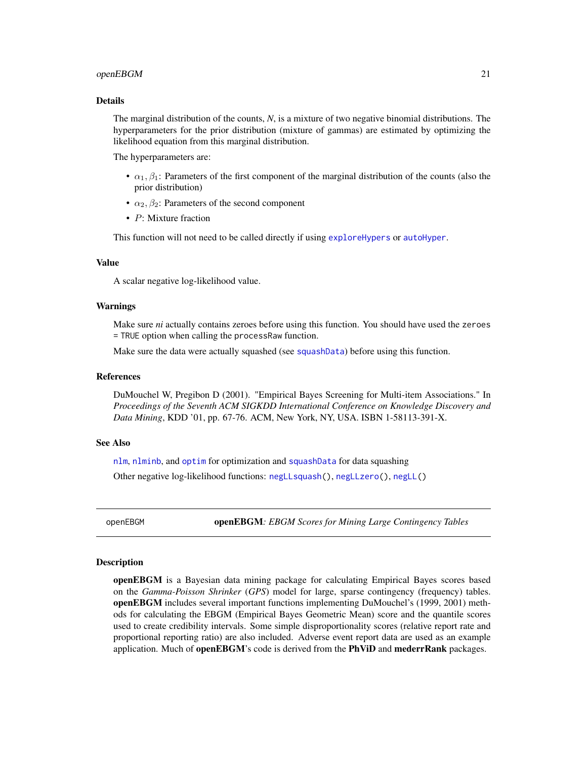#### <span id="page-20-0"></span>openEBGM 21

#### Details

The marginal distribution of the counts, *N*, is a mixture of two negative binomial distributions. The hyperparameters for the prior distribution (mixture of gammas) are estimated by optimizing the likelihood equation from this marginal distribution.

The hyperparameters are:

- $\alpha_1, \beta_1$ : Parameters of the first component of the marginal distribution of the counts (also the prior distribution)
- $\alpha_2, \beta_2$ : Parameters of the second component
- P: Mixture fraction

This function will not need to be called directly if using [exploreHypers](#page-10-1) or [autoHyper](#page-1-1).

#### Value

A scalar negative log-likelihood value.

#### Warnings

Make sure *ni* actually contains zeroes before using this function. You should have used the zeroes = TRUE option when calling the processRaw function.

Make sure the data were actually squashed (see [squashData](#page-29-1)) before using this function.

#### **References**

DuMouchel W, Pregibon D (2001). "Empirical Bayes Screening for Multi-item Associations." In *Proceedings of the Seventh ACM SIGKDD International Conference on Knowledge Discovery and Data Mining*, KDD '01, pp. 67-76. ACM, New York, NY, USA. ISBN 1-58113-391-X.

# See Also

[nlm](#page-0-0), [nlminb](#page-0-0), and [optim](#page-0-0) for optimization and [squashData](#page-29-1) for data squashing Other negative log-likelihood functions: [negLLsquash\(](#page-16-1)), [negLLzero\(](#page-18-1)), [negLL\(](#page-15-1))

openEBGM openEBGM*: EBGM Scores for Mining Large Contingency Tables*

#### **Description**

openEBGM is a Bayesian data mining package for calculating Empirical Bayes scores based on the *Gamma-Poisson Shrinker* (*GPS*) model for large, sparse contingency (frequency) tables. openEBGM includes several important functions implementing DuMouchel's (1999, 2001) methods for calculating the EBGM (Empirical Bayes Geometric Mean) score and the quantile scores used to create credibility intervals. Some simple disproportionality scores (relative report rate and proportional reporting ratio) are also included. Adverse event report data are used as an example application. Much of openEBGM's code is derived from the PhViD and mederrRank packages.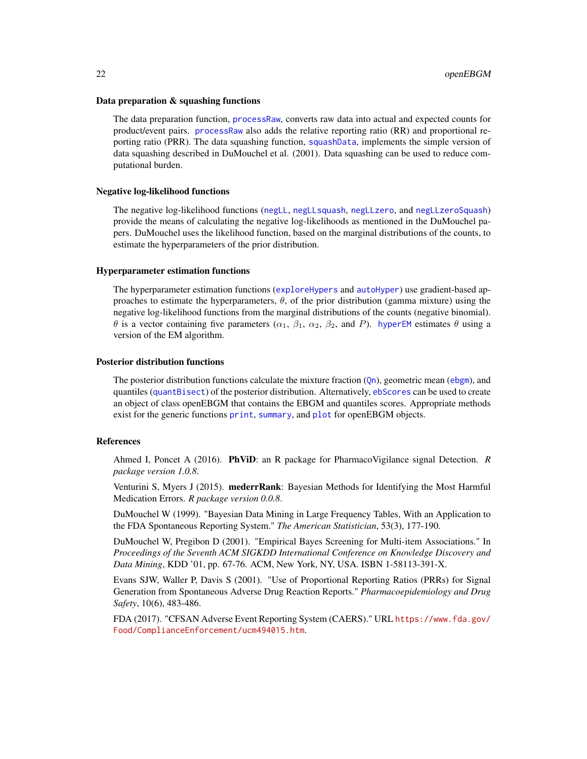#### <span id="page-21-0"></span>Data preparation & squashing functions

The data preparation function, [processRaw](#page-23-1), converts raw data into actual and expected counts for product/event pairs. [processRaw](#page-23-1) also adds the relative reporting ratio (RR) and proportional reporting ratio (PRR). The data squashing function, [squashData](#page-29-1), implements the simple version of data squashing described in DuMouchel et al. (2001). Data squashing can be used to reduce computational burden.

#### Negative log-likelihood functions

The negative log-likelihood functions ([negLL](#page-15-1), [negLLsquash](#page-16-1), [negLLzero](#page-18-1), and [negLLzeroSquash](#page-19-1)) provide the means of calculating the negative log-likelihoods as mentioned in the DuMouchel papers. DuMouchel uses the likelihood function, based on the marginal distributions of the counts, to estimate the hyperparameters of the prior distribution.

#### Hyperparameter estimation functions

The hyperparameter estimation functions ([exploreHypers](#page-10-1) and [autoHyper](#page-1-1)) use gradient-based approaches to estimate the hyperparameters,  $\theta$ , of the prior distribution (gamma mixture) using the negative log-likelihood functions from the marginal distributions of the counts (negative binomial). θ is a vector containing five parameters ( $\alpha_1$ ,  $\beta_1$ ,  $\alpha_2$ ,  $\beta_2$ , and P). [hyperEM](#page-12-1) estimates θ using a version of the EM algorithm.

#### Posterior distribution functions

The posterior distribution functions calculate the mixture fraction  $(Qn)$  $(Qn)$  $(Qn)$ , geometric mean ([ebgm](#page-7-1)), and quantiles ([quantBisect](#page-27-1)) of the posterior distribution. Alternatively, [ebScores](#page-8-1) can be used to create an object of class openEBGM that contains the EBGM and quantiles scores. Appropriate methods exist for the generic functions [print](#page-0-0), [summary](#page-0-0), and [plot](#page-0-0) for openEBGM objects.

#### References

Ahmed I, Poncet A (2016). PhViD: an R package for PharmacoVigilance signal Detection. *R package version 1.0.8*.

Venturini S, Myers J (2015). mederrRank: Bayesian Methods for Identifying the Most Harmful Medication Errors. *R package version 0.0.8*.

DuMouchel W (1999). "Bayesian Data Mining in Large Frequency Tables, With an Application to the FDA Spontaneous Reporting System." *The American Statistician*, 53(3), 177-190.

DuMouchel W, Pregibon D (2001). "Empirical Bayes Screening for Multi-item Associations." In *Proceedings of the Seventh ACM SIGKDD International Conference on Knowledge Discovery and Data Mining*, KDD '01, pp. 67-76. ACM, New York, NY, USA. ISBN 1-58113-391-X.

Evans SJW, Waller P, Davis S (2001). "Use of Proportional Reporting Ratios (PRRs) for Signal Generation from Spontaneous Adverse Drug Reaction Reports." *Pharmacoepidemiology and Drug Safety*, 10(6), 483-486.

FDA (2017). "CFSAN Adverse Event Reporting System (CAERS)." URL [https://www.fda.gov/](https://www.fda.gov/Food/ComplianceEnforcement/ucm494015.htm) [Food/ComplianceEnforcement/ucm494015.htm](https://www.fda.gov/Food/ComplianceEnforcement/ucm494015.htm).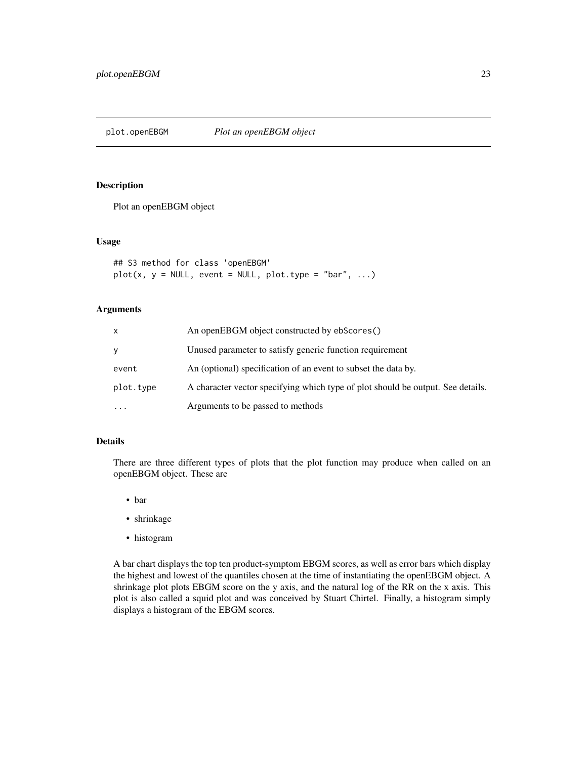<span id="page-22-0"></span>plot.openEBGM *Plot an openEBGM object*

# Description

Plot an openEBGM object

#### Usage

```
## S3 method for class 'openEBGM'
plot(x, y = NULL, event = NULL, plot_type = "bar", ...)
```
# Arguments

| x         | An openEBGM object constructed by ebScores()                                    |
|-----------|---------------------------------------------------------------------------------|
| v         | Unused parameter to satisfy generic function requirement                        |
| event     | An (optional) specification of an event to subset the data by.                  |
| plot.type | A character vector specifying which type of plot should be output. See details. |
| $\cdots$  | Arguments to be passed to methods                                               |

# Details

There are three different types of plots that the plot function may produce when called on an openEBGM object. These are

- bar
- shrinkage
- histogram

A bar chart displays the top ten product-symptom EBGM scores, as well as error bars which display the highest and lowest of the quantiles chosen at the time of instantiating the openEBGM object. A shrinkage plot plots EBGM score on the y axis, and the natural log of the RR on the x axis. This plot is also called a squid plot and was conceived by Stuart Chirtel. Finally, a histogram simply displays a histogram of the EBGM scores.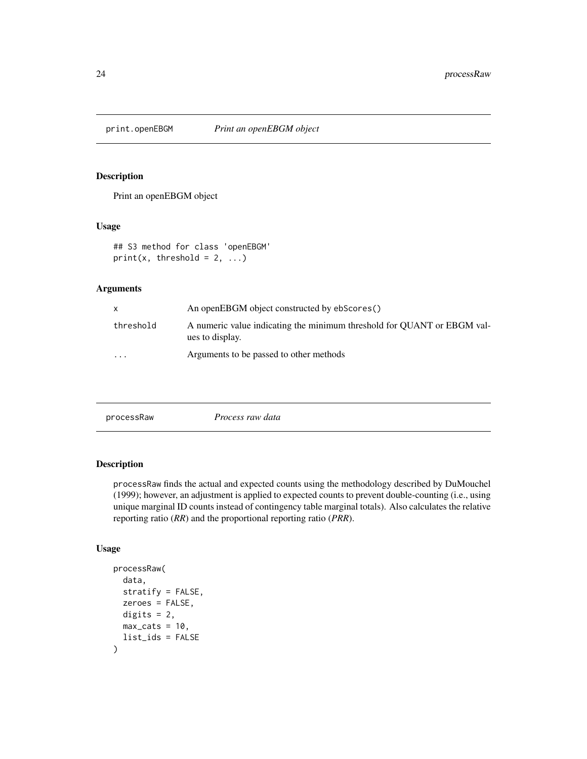<span id="page-23-0"></span>

## Description

Print an openEBGM object

# Usage

## S3 method for class 'openEBGM'  $print(x, threshold = 2, ...)$ 

#### Arguments

| X         | An openEBGM object constructed by ebScores()                                               |
|-----------|--------------------------------------------------------------------------------------------|
| threshold | A numeric value indicating the minimum threshold for QUANT or EBGM val-<br>ues to display. |
| $\cdots$  | Arguments to be passed to other methods                                                    |

<span id="page-23-1"></span>

# Description

processRaw finds the actual and expected counts using the methodology described by DuMouchel (1999); however, an adjustment is applied to expected counts to prevent double-counting (i.e., using unique marginal ID counts instead of contingency table marginal totals). Also calculates the relative reporting ratio (*RR*) and the proportional reporting ratio (*PRR*).

# Usage

```
processRaw(
  data,
  stratify = FALSE,
  zeroes = FALSE,
  digits = 2,
  max\_cats = 10,
  list_ids = FALSE
\mathcal{E}
```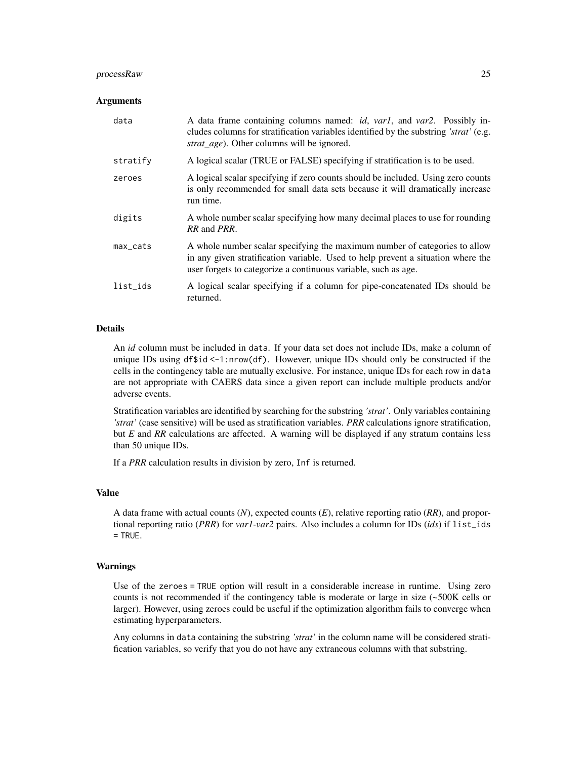#### processRaw 25

#### Arguments

| data        | A data frame containing columns named: <i>id, varl,</i> and <i>varl</i> . Possibly in-<br>cludes columns for stratification variables identified by the substring 'strat' (e.g.<br>strat_age). Other columns will be ignored.    |
|-------------|----------------------------------------------------------------------------------------------------------------------------------------------------------------------------------------------------------------------------------|
| stratify    | A logical scalar (TRUE or FALSE) specifying if stratification is to be used.                                                                                                                                                     |
| zeroes      | A logical scalar specifying if zero counts should be included. Using zero counts<br>is only recommended for small data sets because it will dramatically increase<br>run time.                                                   |
| digits      | A whole number scalar specifying how many decimal places to use for rounding<br>RR and PRR.                                                                                                                                      |
| $max\_cats$ | A whole number scalar specifying the maximum number of categories to allow<br>in any given stratification variable. Used to help prevent a situation where the<br>user forgets to categorize a continuous variable, such as age. |
| list_ids    | A logical scalar specifying if a column for pipe-concatenated IDs should be<br>returned.                                                                                                                                         |

#### Details

An *id* column must be included in data. If your data set does not include IDs, make a column of unique IDs using df\$id <-1:nrow(df). However, unique IDs should only be constructed if the cells in the contingency table are mutually exclusive. For instance, unique IDs for each row in data are not appropriate with CAERS data since a given report can include multiple products and/or adverse events.

Stratification variables are identified by searching for the substring *'strat'*. Only variables containing *'strat'* (case sensitive) will be used as stratification variables. *PRR* calculations ignore stratification, but *E* and *RR* calculations are affected. A warning will be displayed if any stratum contains less than 50 unique IDs.

If a *PRR* calculation results in division by zero, Inf is returned.

#### Value

A data frame with actual counts (*N*), expected counts (*E*), relative reporting ratio (*RR*), and proportional reporting ratio (*PRR*) for *var1-var2* pairs. Also includes a column for IDs (*ids*) if list\_ids = TRUE.

### Warnings

Use of the zeroes = TRUE option will result in a considerable increase in runtime. Using zero counts is not recommended if the contingency table is moderate or large in size (~500K cells or larger). However, using zeroes could be useful if the optimization algorithm fails to converge when estimating hyperparameters.

Any columns in data containing the substring *'strat'* in the column name will be considered stratification variables, so verify that you do not have any extraneous columns with that substring.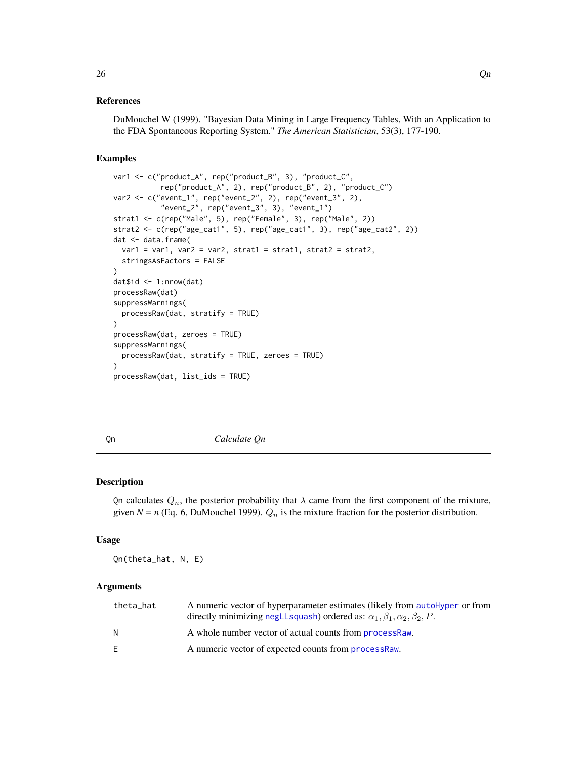#### <span id="page-25-0"></span>References

DuMouchel W (1999). "Bayesian Data Mining in Large Frequency Tables, With an Application to the FDA Spontaneous Reporting System." *The American Statistician*, 53(3), 177-190.

# Examples

```
var1 <- c("product_A", rep("product_B", 3), "product_C",
           rep("product_A", 2), rep("product_B", 2), "product_C")
var2 <- c("event_1", rep("event_2", 2), rep("event_3", 2),
           "event_2", rep("event_3", 3), "event_1")
strat1 <- c(rep("Male", 5), rep("Female", 3), rep("Male", 2))
strat2 <- c(rep("age_cat1", 5), rep("age_cat1", 3), rep("age_cat2", 2))
dat <- data.frame(
  var1 = var1, var2 = var2, strat1 = strat1, strat2 = strat2,
  stringsAsFactors = FALSE
\lambdadat$id <- 1:nrow(dat)
processRaw(dat)
suppressWarnings(
  processRaw(dat, stratify = TRUE)
)
processRaw(dat, zeroes = TRUE)
suppressWarnings(
  processRaw(dat, stratify = TRUE, zeroes = TRUE)
)
processRaw(dat, list_ids = TRUE)
```
<span id="page-25-1"></span>

Qn *Calculate Qn*

#### Description

Qn calculates  $Q_n$ , the posterior probability that  $\lambda$  came from the first component of the mixture, given  $N = n$  (Eq. 6, DuMouchel 1999).  $Q_n$  is the mixture fraction for the posterior distribution.

#### Usage

Qn(theta\_hat, N, E)

# Arguments

| theta_hat | A numeric vector of hyperparameter estimates (likely from autoHyper or from<br>directly minimizing negLLsquash) ordered as: $\alpha_1, \beta_1, \alpha_2, \beta_2, P$ . |
|-----------|-------------------------------------------------------------------------------------------------------------------------------------------------------------------------|
| N         | A whole number vector of actual counts from <b>processRaw</b> .                                                                                                         |
| E.        | A numeric vector of expected counts from <b>processRaw</b> .                                                                                                            |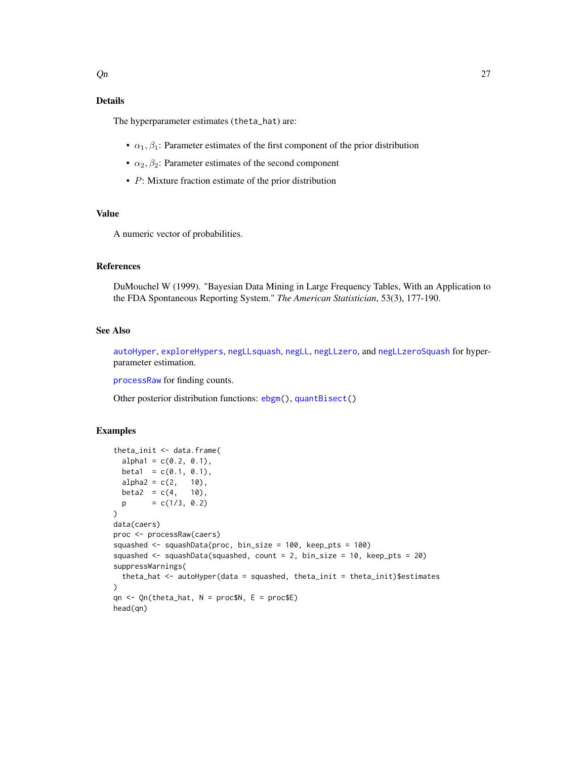# <span id="page-26-0"></span>Details

The hyperparameter estimates (theta\_hat) are:

- $\alpha_1, \beta_1$ : Parameter estimates of the first component of the prior distribution
- $\alpha_2, \beta_2$ : Parameter estimates of the second component
- P: Mixture fraction estimate of the prior distribution

# Value

A numeric vector of probabilities.

# References

DuMouchel W (1999). "Bayesian Data Mining in Large Frequency Tables, With an Application to the FDA Spontaneous Reporting System." *The American Statistician*, 53(3), 177-190.

# See Also

[autoHyper](#page-1-1), [exploreHypers](#page-10-1), [negLLsquash](#page-16-1), [negLL](#page-15-1), [negLLzero](#page-18-1), and [negLLzeroSquash](#page-19-1) for hyperparameter estimation.

[processRaw](#page-23-1) for finding counts.

Other posterior distribution functions: [ebgm\(](#page-7-1)), [quantBisect\(](#page-27-1))

# Examples

```
theta_init <- data.frame(
  alpha1 = c(0.2, 0.1),beta1 = c(0.1, 0.1),alpha2 = c(2, 10),
  beta2 = c(4, 10),
  p = c(1/3, 0.2))
data(caers)
proc <- processRaw(caers)
squashed <- squashData(proc, bin_size = 100, keep_pts = 100)
squashed <- squashData(squashed, count = 2, bin_size = 10, keep_pts = 20)
suppressWarnings(
  theta_hat \leq autoHyper(data = squashed, theta_init = theta_init)$estimates
\mathcal{L}qn \leq Qn(theta_hat, N = proc$N, E = proc$E)
head(qn)
```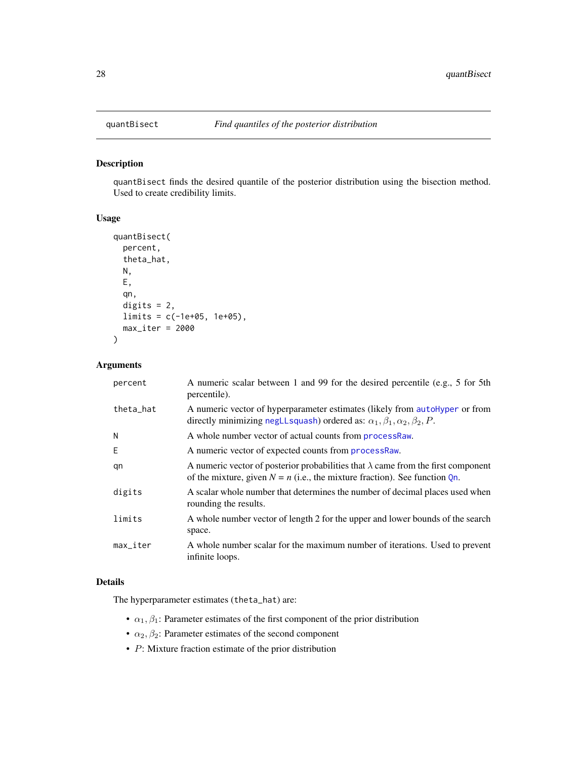<span id="page-27-1"></span><span id="page-27-0"></span>

# Description

quantBisect finds the desired quantile of the posterior distribution using the bisection method. Used to create credibility limits.

# Usage

```
quantBisect(
 percent,
  theta_hat,
 N,
 E,
  qn,
  digits = 2,
 limits = c(-1e+05, 1e+05),
 max\_iter = 2000)
```
# Arguments

| percent                | A numeric scalar between 1 and 99 for the desired percentile (e.g., 5 for 5th<br>percentile).                                                                               |
|------------------------|-----------------------------------------------------------------------------------------------------------------------------------------------------------------------------|
| theta_hat              | A numeric vector of hyperparameter estimates (likely from autoHyper or from<br>directly minimizing negLLsquash) ordered as: $\alpha_1, \beta_1, \alpha_2, \beta_2, P$ .     |
| N                      | A whole number vector of actual counts from processRaw.                                                                                                                     |
| E                      | A numeric vector of expected counts from processRaw.                                                                                                                        |
| qn                     | A numeric vector of posterior probabilities that $\lambda$ came from the first component<br>of the mixture, given $N = n$ (i.e., the mixture fraction). See function $Qn$ . |
| digits                 | A scalar whole number that determines the number of decimal places used when<br>rounding the results.                                                                       |
| limits                 | A whole number vector of length 2 for the upper and lower bounds of the search<br>space.                                                                                    |
| $max$ <sub>Liter</sub> | A whole number scalar for the maximum number of iterations. Used to prevent<br>infinite loops.                                                                              |

#### Details

The hyperparameter estimates (theta\_hat) are:

- $\alpha_1, \beta_1$ : Parameter estimates of the first component of the prior distribution
- $\alpha_2, \beta_2$ : Parameter estimates of the second component
- P: Mixture fraction estimate of the prior distribution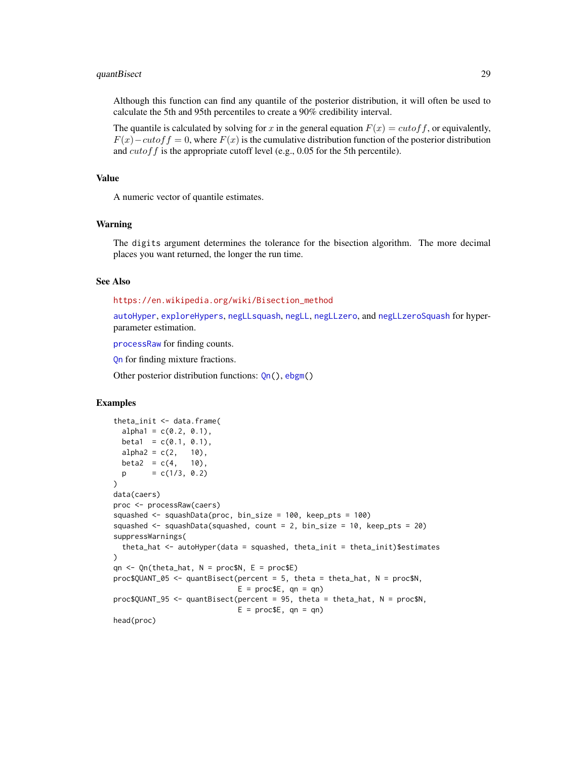#### <span id="page-28-0"></span>quantBisect 29

Although this function can find any quantile of the posterior distribution, it will often be used to calculate the 5th and 95th percentiles to create a 90% credibility interval.

The quantile is calculated by solving for x in the general equation  $F(x) = cutoff$ , or equivalently,  $F(x) - \alpha \alpha f f = 0$ , where  $F(x)$  is the cumulative distribution function of the posterior distribution and  $cutoff$  is the appropriate cutoff level (e.g., 0.05 for the 5th percentile).

#### Value

A numeric vector of quantile estimates.

#### Warning

The digits argument determines the tolerance for the bisection algorithm. The more decimal places you want returned, the longer the run time.

### See Also

[https://en.wikipedia.org/wiki/Bisection\\_method](https://en.wikipedia.org/wiki/Bisection_method)

[autoHyper](#page-1-1), [exploreHypers](#page-10-1), [negLLsquash](#page-16-1), [negLL](#page-15-1), [negLLzero](#page-18-1), and [negLLzeroSquash](#page-19-1) for hyperparameter estimation.

[processRaw](#page-23-1) for finding counts.

[Qn](#page-25-1) for finding mixture fractions.

Other posterior distribution functions: [Qn\(](#page-25-1)), [ebgm\(](#page-7-1))

#### Examples

```
theta_init <- data.frame(
 alpha1 = c(0.2, 0.1),beta1 = c(0.1, 0.1),alpha2 = c(2, 10),
 beta2 = c(4, 10),
 p = c(1/3, 0.2)\mathcal{L}data(caers)
proc <- processRaw(caers)
squashed <- squashData(proc, bin_size = 100, keep_pts = 100)
squashed <- squashData(squashed, count = 2, bin_size = 10, keep_pts = 20)
suppressWarnings(
 theta_hat <- autoHyper(data = squashed, theta_init = theta_init)$estimates
\lambdaqn <- Qn(theta_hat, N = proc$N, E = proc$E)
proc$QUANT_05 <- quantBisect(percent = 5, theta = theta_hat, N = proc$N,
                             E = \text{proc$E, qn = qn}proc$QUANT_95 <- quantBisect(percent = 95, theta = theta_hat, N = proc$N,
                             E = \text{proc$E, qn = qn}head(proc)
```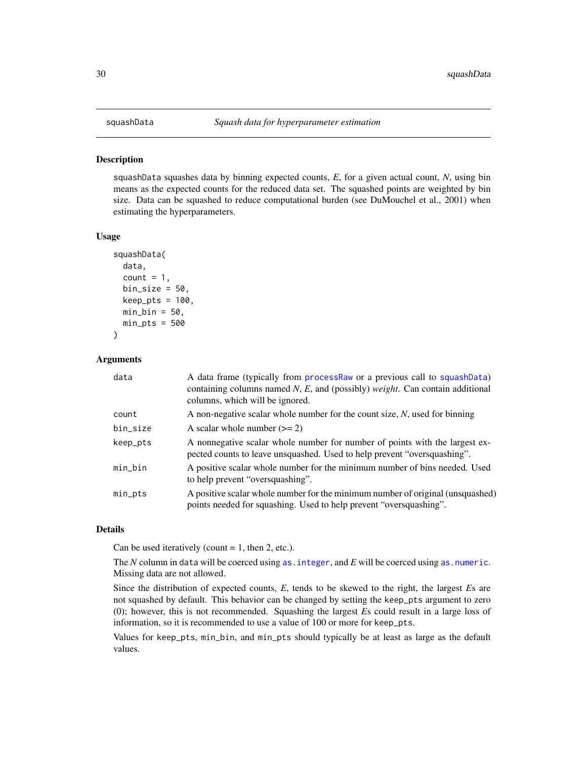<span id="page-29-1"></span><span id="page-29-0"></span>

#### **Description**

squashData squashes data by binning expected counts, *E*, for a given actual count, *N*, using bin means as the expected counts for the reduced data set. The squashed points are weighted by bin size. Data can be squashed to reduce computational burden (see DuMouchel et al., 2001) when estimating the hyperparameters.

# Usage

```
squashData(
  data,
  count = 1,
 bin\_size = 50,
 keep\_pts = 100,min_bin = 50,
 min_pts = 500)
```
#### Arguments

| data     | A data frame (typically from processRaw or a previous call to squashData)<br>containing columns named $N$ , E, and (possibly) <i>weight</i> . Can contain additional<br>columns, which will be ignored. |
|----------|---------------------------------------------------------------------------------------------------------------------------------------------------------------------------------------------------------|
| count    | A non-negative scalar whole number for the count size, $N$ , used for binning                                                                                                                           |
| bin_size | A scalar whole number $(>= 2)$                                                                                                                                                                          |
| keep_pts | A nonnegative scalar whole number for number of points with the largest ex-<br>pected counts to leave unsquashed. Used to help prevent "oversquashing".                                                 |
| min_bin  | A positive scalar whole number for the minimum number of bins needed. Used<br>to help prevent "oversquashing".                                                                                          |
| min_pts  | A positive scalar whole number for the minimum number of original (unsquashed)<br>points needed for squashing. Used to help prevent "oversquashing".                                                    |

# Details

Can be used iteratively (count  $= 1$ , then 2, etc.).

The *N* column in data will be coerced using [as.integer](#page-0-0), and *E* will be coerced using [as.numeric](#page-0-0). Missing data are not allowed.

Since the distribution of expected counts, *E*, tends to be skewed to the right, the largest *E*s are not squashed by default. This behavior can be changed by setting the keep\_pts argument to zero (0); however, this is not recommended. Squashing the largest *E*s could result in a large loss of information, so it is recommended to use a value of 100 or more for keep\_pts.

Values for keep\_pts, min\_bin, and min\_pts should typically be at least as large as the default values.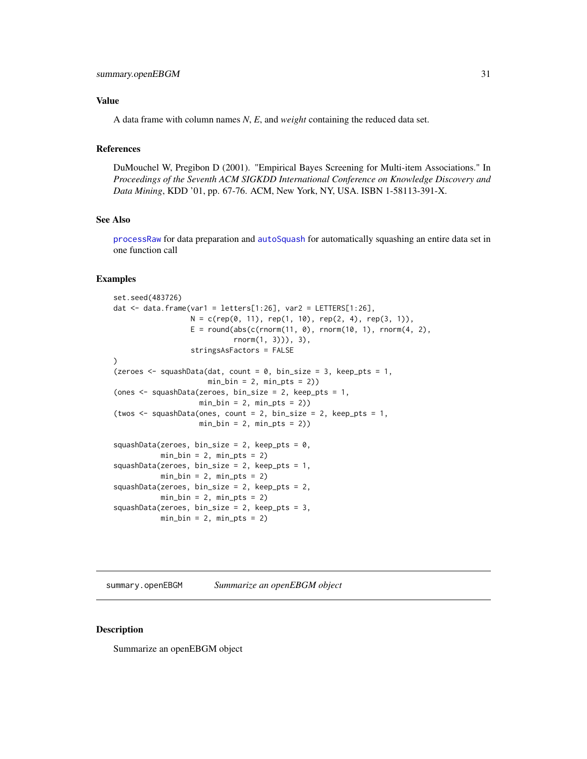#### <span id="page-30-0"></span>Value

A data frame with column names *N*, *E*, and *weight* containing the reduced data set.

# References

DuMouchel W, Pregibon D (2001). "Empirical Bayes Screening for Multi-item Associations." In *Proceedings of the Seventh ACM SIGKDD International Conference on Knowledge Discovery and Data Mining*, KDD '01, pp. 67-76. ACM, New York, NY, USA. ISBN 1-58113-391-X.

#### See Also

[processRaw](#page-23-1) for data preparation and [autoSquash](#page-4-1) for automatically squashing an entire data set in one function call

# Examples

```
set.seed(483726)
dat \le data.frame(var1 = letters[1:26], var2 = LETTERS[1:26],
                 N = c(rep(\emptyset, 11), rep(1, 10), rep(2, 4), rep(3, 1)),E = round(abs(c(rnorm(11, 0), rnorm(10, 1), rnorm(4, 2),rnorm(1, 3))), 3),
                 stringsAsFactors = FALSE
)
(zeroes \leq squashData(dat, count = 0, bin_size = 3, keep_pts = 1,
                     min_b = 2, min_pts = 2)
(ones <- squashData(zeroes, bin_size = 2, keep_pts = 1,
                   min_b = 2, min_pts = 2)
(twos <- squashData(ones, count = 2, bin_size = 2, keep_pts = 1,
                   min_b = 2, min_pts = 2)
squashData(zeroes, bin_size = 2, keep_pts = 0,
          min_b = 2, min_pts = 2squashData(zeroes, bin_size = 2, keep_pts = 1,
          min_b = 2, min_pts = 2squashData(zeroes, bin_size = 2, keep_pts = 2,
          min_b = 2, min_pts = 2squashData(zeroes, bin_size = 2, keep_pts = 3,
          min_b = 2, min_pts = 2
```
summary.openEBGM *Summarize an openEBGM object*

# Description

Summarize an openEBGM object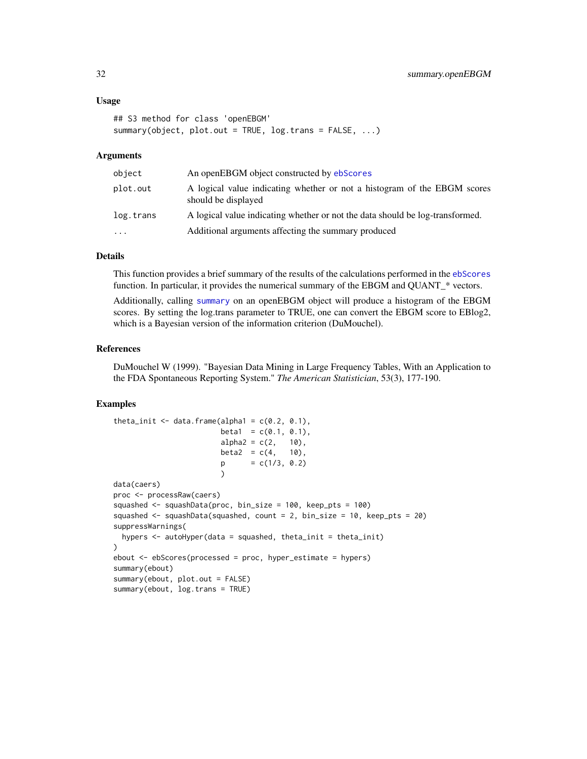```
## S3 method for class 'openEBGM'
summary(object, plot.out = TRUE, log.trans = FALSE, ...)
```
#### Arguments

| object    | An openEBGM object constructed by ebScores                                                      |
|-----------|-------------------------------------------------------------------------------------------------|
| plot.out  | A logical value indicating whether or not a histogram of the EBGM scores<br>should be displayed |
| log.trans | A logical value indicating whether or not the data should be log-transformed.                   |
| $\cdots$  | Additional arguments affecting the summary produced                                             |

# Details

This function provides a brief summary of the results of the calculations performed in the [ebScores](#page-8-1) function. In particular, it provides the numerical summary of the EBGM and QUANT\_\* vectors.

Additionally, calling [summary](#page-0-0) on an openEBGM object will produce a histogram of the EBGM scores. By setting the log.trans parameter to TRUE, one can convert the EBGM score to EBlog2, which is a Bayesian version of the information criterion (DuMouchel).

#### References

DuMouchel W (1999). "Bayesian Data Mining in Large Frequency Tables, With an Application to the FDA Spontaneous Reporting System." *The American Statistician*, 53(3), 177-190.

#### Examples

```
theta_init \leq data.frame(alpha1 = c(0.2, 0.1),
                        beta1 = c(0.1, 0.1),alpha2 = c(2, 10),
                        beta2 = c(4, 10),p = c(1/3, 0.2))
data(caers)
proc <- processRaw(caers)
squashed <- squashData(proc, bin_size = 100, keep_pts = 100)
squashed <- squashData(squashed, count = 2, bin_size = 10, keep_pts = 20)
suppressWarnings(
 hypers \leq autoHyper(data = squashed, theta_init = theta_init)
\lambdaebout <- ebScores(processed = proc, hyper_estimate = hypers)
summary(ebout)
summary(ebout, plot.out = FALSE)
summary(ebout, log.trans = TRUE)
```